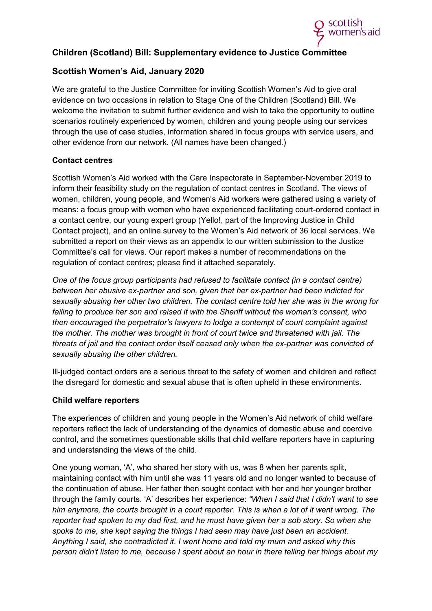

## **Children (Scotland) Bill: Supplementary evidence to Justice Committee**

## **Scottish Women's Aid, January 2020**

We are grateful to the Justice Committee for inviting Scottish Women's Aid to give oral evidence on two occasions in relation to Stage One of the Children (Scotland) Bill. We welcome the invitation to submit further evidence and wish to take the opportunity to outline scenarios routinely experienced by women, children and young people using our services through the use of case studies, information shared in focus groups with service users, and other evidence from our network. (All names have been changed.)

## **Contact centres**

Scottish Women's Aid worked with the Care Inspectorate in September-November 2019 to inform their feasibility study on the regulation of contact centres in Scotland. The views of women, children, young people, and Women's Aid workers were gathered using a variety of means: a focus group with women who have experienced facilitating court-ordered contact in a contact centre, our young expert group (Yello!, part of the Improving Justice in Child Contact project), and an online survey to the Women's Aid network of 36 local services. We submitted a report on their views as an appendix to our written submission to the Justice Committee's call for views. Our report makes a number of recommendations on the regulation of contact centres; please find it attached separately.

*One of the focus group participants had refused to facilitate contact (in a contact centre) between her abusive ex-partner and son, given that her ex-partner had been indicted for sexually abusing her other two children. The contact centre told her she was in the wrong for failing to produce her son and raised it with the Sheriff without the woman's consent, who then encouraged the perpetrator's lawyers to lodge a contempt of court complaint against the mother. The mother was brought in front of court twice and threatened with jail. The threats of jail and the contact order itself ceased only when the ex-partner was convicted of sexually abusing the other children.*

Ill-judged contact orders are a serious threat to the safety of women and children and reflect the disregard for domestic and sexual abuse that is often upheld in these environments.

### **Child welfare reporters**

The experiences of children and young people in the Women's Aid network of child welfare reporters reflect the lack of understanding of the dynamics of domestic abuse and coercive control, and the sometimes questionable skills that child welfare reporters have in capturing and understanding the views of the child.

One young woman, 'A', who shared her story with us, was 8 when her parents split, maintaining contact with him until she was 11 years old and no longer wanted to because of the continuation of abuse. Her father then sought contact with her and her younger brother through the family courts. 'A' describes her experience: *"When I said that I didn't want to see him anymore, the courts brought in a court reporter. This is when a lot of it went wrong. The reporter had spoken to my dad first, and he must have given her a sob story. So when she spoke to me, she kept saying the things I had seen may have just been an accident. Anything I said, she contradicted it. I went home and told my mum and asked why this person didn't listen to me, because I spent about an hour in there telling her things about my*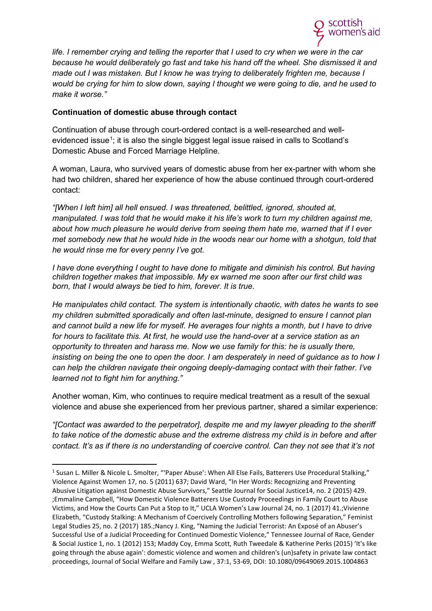

*life. I remember crying and telling the reporter that I used to cry when we were in the car because he would deliberately go fast and take his hand off the wheel. She dismissed it and made out I was mistaken. But I know he was trying to deliberately frighten me, because I would be crying for him to slow down, saying I thought we were going to die, and he used to make it worse."*

### **Continuation of domestic abuse through contact**

Continuation of abuse through court-ordered contact is a well-researched and well-evidenced issue<sup>[1](#page-1-0)</sup>; it is also the single biggest legal issue raised in calls to Scotland's Domestic Abuse and Forced Marriage Helpline.

A woman, Laura, who survived years of domestic abuse from her ex-partner with whom she had two children, shared her experience of how the abuse continued through court-ordered contact:

*"[When I left him] all hell ensued. I was threatened, belittled, ignored, shouted at, manipulated. I was told that he would make it his life's work to turn my children against me, about how much pleasure he would derive from seeing them hate me, warned that if I ever met somebody new that he would hide in the woods near our home with a shotgun, told that he would rinse me for every penny I've got.*

*I have done everything I ought to have done to mitigate and diminish his control. But having children together makes that impossible. My ex warned me soon after our first child was born, that I would always be tied to him, forever. It is true.* 

*He manipulates child contact. The system is intentionally chaotic, with dates he wants to see my children submitted sporadically and often last-minute, designed to ensure I cannot plan and cannot build a new life for myself. He averages four nights a month, but I have to drive for hours to facilitate this. At first, he would use the hand-over at a service station as an opportunity to threaten and harass me. Now we use family for this: he is usually there, insisting on being the one to open the door. I am desperately in need of guidance as to how I can help the children navigate their ongoing deeply-damaging contact with their father. I've learned not to fight him for anything."*

Another woman, Kim, who continues to require medical treatment as a result of the sexual violence and abuse she experienced from her previous partner, shared a similar experience:

*"[Contact was awarded to the perpetrator], despite me and my lawyer pleading to the sheriff to take notice of the domestic abuse and the extreme distress my child is in before and after contact. It's as if there is no understanding of coercive control. Can they not see that it's not* 

<span id="page-1-0"></span><sup>&</sup>lt;sup>1</sup> Susan L. Miller & Nicole L. Smolter, "'Paper Abuse': When All Else Fails, Batterers Use Procedural Stalking," Violence Against Women 17, no. 5 (2011) 637; David Ward, "In Her Words: Recognizing and Preventing Abusive Litigation against Domestic Abuse Survivors," Seattle Journal for Social Justice14, no. 2 (2015) 429. ;Emmaline Campbell, "How Domestic Violence Batterers Use Custody Proceedings in Family Court to Abuse Victims, and How the Courts Can Put a Stop to It," UCLA Women's Law Journal 24, no. 1 (2017) 41.;Vivienne Elizabeth, "Custody Stalking: A Mechanism of Coercively Controlling Mothers following Separation," Feminist Legal Studies 25, no. 2 (2017) 185.;Nancy J. King, "Naming the Judicial Terrorist: An Exposé of an Abuser's Successful Use of a Judicial Proceeding for Continued Domestic Violence," Tennessee Journal of Race, Gender & Social Justice 1, no. 1 (2012) 153; Maddy Coy, Emma Scott, Ruth Tweedale & Katherine Perks (2015) 'It's like going through the abuse again': domestic violence and women and children's (un)safety in private law contact proceedings, Journal of Social Welfare and Family Law , 37:1, 53-69, DOI: 10.1080/09649069.2015.1004863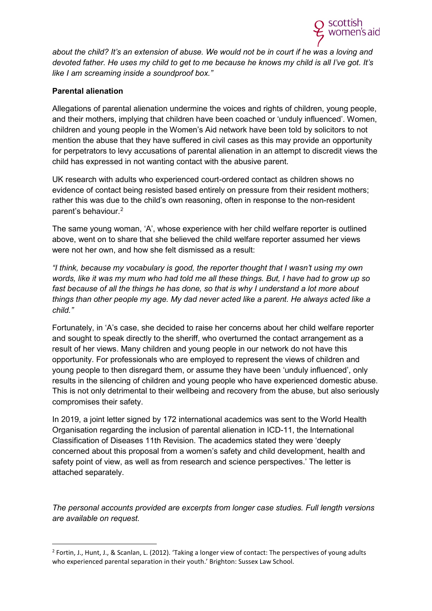

*about the child? It's an extension of abuse. We would not be in court if he was a loving and devoted father. He uses my child to get to me because he knows my child is all I've got. It's like I am screaming inside a soundproof box."*

## **Parental alienation**

Allegations of parental alienation undermine the voices and rights of children, young people, and their mothers, implying that children have been coached or 'unduly influenced'. Women, children and young people in the Women's Aid network have been told by solicitors to not mention the abuse that they have suffered in civil cases as this may provide an opportunity for perpetrators to levy accusations of parental alienation in an attempt to discredit views the child has expressed in not wanting contact with the abusive parent.

UK research with adults who experienced court-ordered contact as children shows no evidence of contact being resisted based entirely on pressure from their resident mothers; rather this was due to the child's own reasoning, often in response to the non-resident parent's behaviour.[2](#page-2-0)

The same young woman, 'A', whose experience with her child welfare reporter is outlined above, went on to share that she believed the child welfare reporter assumed her views were not her own, and how she felt dismissed as a result:

*"I think, because my vocabulary is good, the reporter thought that I wasn't using my own words, like it was my mum who had told me all these things. But, I have had to grow up so*  fast because of all the things he has done, so that is why I understand a lot more about *things than other people my age. My dad never acted like a parent. He always acted like a child."*

Fortunately, in 'A's case, she decided to raise her concerns about her child welfare reporter and sought to speak directly to the sheriff, who overturned the contact arrangement as a result of her views. Many children and young people in our network do not have this opportunity. For professionals who are employed to represent the views of children and young people to then disregard them, or assume they have been 'unduly influenced', only results in the silencing of children and young people who have experienced domestic abuse. This is not only detrimental to their wellbeing and recovery from the abuse, but also seriously compromises their safety.

In 2019, a joint letter signed by 172 international academics was sent to the World Health Organisation regarding the inclusion of parental alienation in ICD-11, the International Classification of Diseases 11th Revision. The academics stated they were 'deeply concerned about this proposal from a women's safety and child development, health and safety point of view, as well as from research and science perspectives.' The letter is attached separately.

*The personal accounts provided are excerpts from longer case studies. Full length versions are available on request.* 

<span id="page-2-0"></span> $2$  Fortin, J., Hunt, J., & Scanlan, L. (2012). 'Taking a longer view of contact: The perspectives of young adults who experienced parental separation in their youth.' Brighton: Sussex Law School.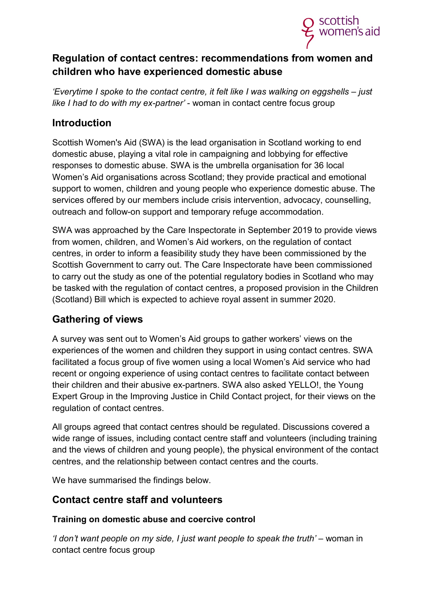

# **Regulation of contact centres: recommendations from women and children who have experienced domestic abuse**

*'Everytime I spoke to the contact centre, it felt like I was walking on eggshells – just like I had to do with my ex-partner'* - woman in contact centre focus group

## **Introduction**

Scottish Women's Aid (SWA) is the lead organisation in Scotland working to end domestic abuse, playing a vital role in campaigning and lobbying for effective responses to domestic abuse. SWA is the umbrella organisation for 36 local Women's Aid organisations across Scotland; they provide practical and emotional support to women, children and young people who experience domestic abuse. The services offered by our members include crisis intervention, advocacy, counselling, outreach and follow-on support and temporary refuge accommodation.

SWA was approached by the Care Inspectorate in September 2019 to provide views from women, children, and Women's Aid workers, on the regulation of contact centres, in order to inform a feasibility study they have been commissioned by the Scottish Government to carry out. The Care Inspectorate have been commissioned to carry out the study as one of the potential regulatory bodies in Scotland who may be tasked with the regulation of contact centres, a proposed provision in the Children (Scotland) Bill which is expected to achieve royal assent in summer 2020.

# **Gathering of views**

A survey was sent out to Women's Aid groups to gather workers' views on the experiences of the women and children they support in using contact centres. SWA facilitated a focus group of five women using a local Women's Aid service who had recent or ongoing experience of using contact centres to facilitate contact between their children and their abusive ex-partners. SWA also asked YELLO!, the Young Expert Group in the Improving Justice in Child Contact project, for their views on the regulation of contact centres.

All groups agreed that contact centres should be regulated. Discussions covered a wide range of issues, including contact centre staff and volunteers (including training and the views of children and young people), the physical environment of the contact centres, and the relationship between contact centres and the courts.

We have summarised the findings below.

# **Contact centre staff and volunteers**

## **Training on domestic abuse and coercive control**

*'I don't want people on my side, I just want people to speak the truth'* – woman in contact centre focus group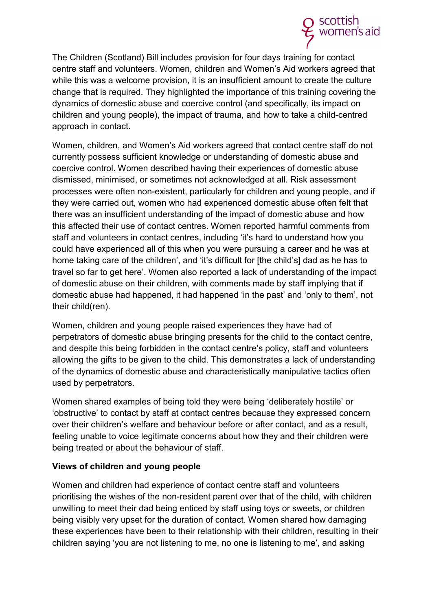

The Children (Scotland) Bill includes provision for four days training for contact centre staff and volunteers. Women, children and Women's Aid workers agreed that while this was a welcome provision, it is an insufficient amount to create the culture change that is required. They highlighted the importance of this training covering the dynamics of domestic abuse and coercive control (and specifically, its impact on children and young people), the impact of trauma, and how to take a child-centred approach in contact.

Women, children, and Women's Aid workers agreed that contact centre staff do not currently possess sufficient knowledge or understanding of domestic abuse and coercive control. Women described having their experiences of domestic abuse dismissed, minimised, or sometimes not acknowledged at all. Risk assessment processes were often non-existent, particularly for children and young people, and if they were carried out, women who had experienced domestic abuse often felt that there was an insufficient understanding of the impact of domestic abuse and how this affected their use of contact centres. Women reported harmful comments from staff and volunteers in contact centres, including 'it's hard to understand how you could have experienced all of this when you were pursuing a career and he was at home taking care of the children', and 'it's difficult for [the child's] dad as he has to travel so far to get here'. Women also reported a lack of understanding of the impact of domestic abuse on their children, with comments made by staff implying that if domestic abuse had happened, it had happened 'in the past' and 'only to them', not their child(ren).

Women, children and young people raised experiences they have had of perpetrators of domestic abuse bringing presents for the child to the contact centre, and despite this being forbidden in the contact centre's policy, staff and volunteers allowing the gifts to be given to the child. This demonstrates a lack of understanding of the dynamics of domestic abuse and characteristically manipulative tactics often used by perpetrators.

Women shared examples of being told they were being 'deliberately hostile' or 'obstructive' to contact by staff at contact centres because they expressed concern over their children's welfare and behaviour before or after contact, and as a result, feeling unable to voice legitimate concerns about how they and their children were being treated or about the behaviour of staff.

## **Views of children and young people**

Women and children had experience of contact centre staff and volunteers prioritising the wishes of the non-resident parent over that of the child, with children unwilling to meet their dad being enticed by staff using toys or sweets, or children being visibly very upset for the duration of contact. Women shared how damaging these experiences have been to their relationship with their children, resulting in their children saying 'you are not listening to me, no one is listening to me', and asking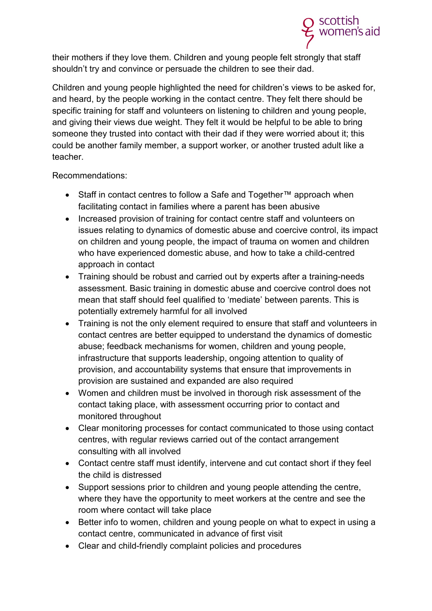

their mothers if they love them. Children and young people felt strongly that staff shouldn't try and convince or persuade the children to see their dad.

Children and young people highlighted the need for children's views to be asked for, and heard, by the people working in the contact centre. They felt there should be specific training for staff and volunteers on listening to children and young people, and giving their views due weight. They felt it would be helpful to be able to bring someone they trusted into contact with their dad if they were worried about it; this could be another family member, a support worker, or another trusted adult like a teacher.

Recommendations:

- Staff in contact centres to follow a Safe and Together™ approach when facilitating contact in families where a parent has been abusive
- Increased provision of training for contact centre staff and volunteers on issues relating to dynamics of domestic abuse and coercive control, its impact on children and young people, the impact of trauma on women and children who have experienced domestic abuse, and how to take a child-centred approach in contact
- Training should be robust and carried out by experts after a training-needs assessment. Basic training in domestic abuse and coercive control does not mean that staff should feel qualified to 'mediate' between parents. This is potentially extremely harmful for all involved
- Training is not the only element required to ensure that staff and volunteers in contact centres are better equipped to understand the dynamics of domestic abuse; feedback mechanisms for women, children and young people, infrastructure that supports leadership, ongoing attention to quality of provision, and accountability systems that ensure that improvements in provision are sustained and expanded are also required
- Women and children must be involved in thorough risk assessment of the contact taking place, with assessment occurring prior to contact and monitored throughout
- Clear monitoring processes for contact communicated to those using contact centres, with regular reviews carried out of the contact arrangement consulting with all involved
- Contact centre staff must identify, intervene and cut contact short if they feel the child is distressed
- Support sessions prior to children and young people attending the centre, where they have the opportunity to meet workers at the centre and see the room where contact will take place
- Better info to women, children and young people on what to expect in using a contact centre, communicated in advance of first visit
- Clear and child-friendly complaint policies and procedures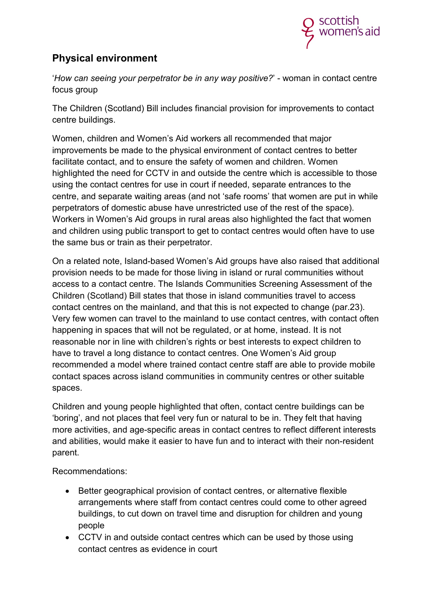

# **Physical environment**

'*How can seeing your perpetrator be in any way positive?*' - woman in contact centre focus group

The Children (Scotland) Bill includes financial provision for improvements to contact centre buildings.

Women, children and Women's Aid workers all recommended that major improvements be made to the physical environment of contact centres to better facilitate contact, and to ensure the safety of women and children. Women highlighted the need for CCTV in and outside the centre which is accessible to those using the contact centres for use in court if needed, separate entrances to the centre, and separate waiting areas (and not 'safe rooms' that women are put in while perpetrators of domestic abuse have unrestricted use of the rest of the space). Workers in Women's Aid groups in rural areas also highlighted the fact that women and children using public transport to get to contact centres would often have to use the same bus or train as their perpetrator.

On a related note, Island-based Women's Aid groups have also raised that additional provision needs to be made for those living in island or rural communities without access to a contact centre. The Islands Communities Screening Assessment of the Children (Scotland) Bill states that those in island communities travel to access contact centres on the mainland, and that this is not expected to change (par.23). Very few women can travel to the mainland to use contact centres, with contact often happening in spaces that will not be regulated, or at home, instead. It is not reasonable nor in line with children's rights or best interests to expect children to have to travel a long distance to contact centres. One Women's Aid group recommended a model where trained contact centre staff are able to provide mobile contact spaces across island communities in community centres or other suitable spaces.

Children and young people highlighted that often, contact centre buildings can be 'boring', and not places that feel very fun or natural to be in. They felt that having more activities, and age-specific areas in contact centres to reflect different interests and abilities, would make it easier to have fun and to interact with their non-resident parent.

Recommendations:

- Better geographical provision of contact centres, or alternative flexible arrangements where staff from contact centres could come to other agreed buildings, to cut down on travel time and disruption for children and young people
- CCTV in and outside contact centres which can be used by those using contact centres as evidence in court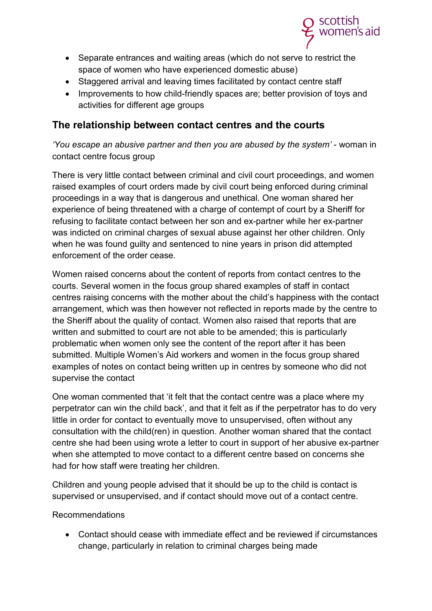

- Separate entrances and waiting areas (which do not serve to restrict the space of women who have experienced domestic abuse)
- Staggered arrival and leaving times facilitated by contact centre staff
- Improvements to how child-friendly spaces are; better provision of toys and activities for different age groups

## **The relationship between contact centres and the courts**

*'You escape an abusive partner and then you are abused by the system'* - woman in contact centre focus group

There is very little contact between criminal and civil court proceedings, and women raised examples of court orders made by civil court being enforced during criminal proceedings in a way that is dangerous and unethical. One woman shared her experience of being threatened with a charge of contempt of court by a Sheriff for refusing to facilitate contact between her son and ex-partner while her ex-partner was indicted on criminal charges of sexual abuse against her other children. Only when he was found guilty and sentenced to nine years in prison did attempted enforcement of the order cease.

Women raised concerns about the content of reports from contact centres to the courts. Several women in the focus group shared examples of staff in contact centres raising concerns with the mother about the child's happiness with the contact arrangement, which was then however not reflected in reports made by the centre to the Sheriff about the quality of contact. Women also raised that reports that are written and submitted to court are not able to be amended; this is particularly problematic when women only see the content of the report after it has been submitted. Multiple Women's Aid workers and women in the focus group shared examples of notes on contact being written up in centres by someone who did not supervise the contact

One woman commented that 'it felt that the contact centre was a place where my perpetrator can win the child back', and that it felt as if the perpetrator has to do very little in order for contact to eventually move to unsupervised, often without any consultation with the child(ren) in question. Another woman shared that the contact centre she had been using wrote a letter to court in support of her abusive ex-partner when she attempted to move contact to a different centre based on concerns she had for how staff were treating her children.

Children and young people advised that it should be up to the child is contact is supervised or unsupervised, and if contact should move out of a contact centre.

Recommendations

• Contact should cease with immediate effect and be reviewed if circumstances change, particularly in relation to criminal charges being made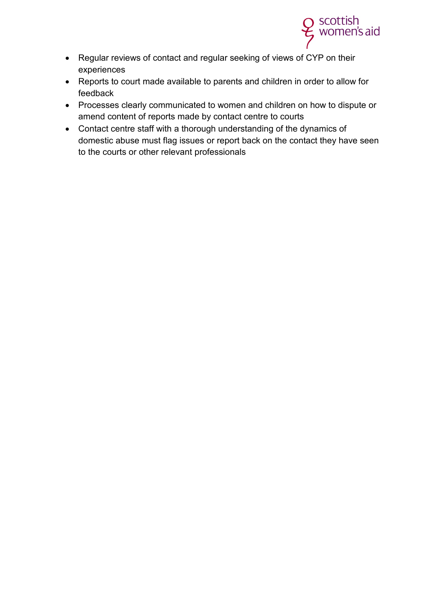

- Regular reviews of contact and regular seeking of views of CYP on their experiences
- Reports to court made available to parents and children in order to allow for feedback
- Processes clearly communicated to women and children on how to dispute or amend content of reports made by contact centre to courts
- Contact centre staff with a thorough understanding of the dynamics of domestic abuse must flag issues or report back on the contact they have seen to the courts or other relevant professionals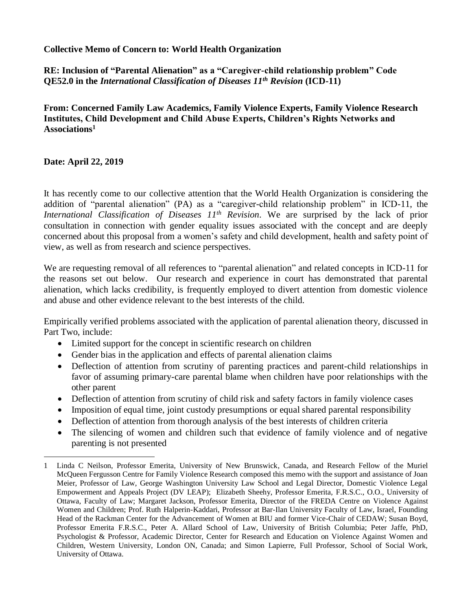## **Collective Memo of Concern to: World Health Organization**

**RE: Inclusion of "Parental Alienation" as a "Caregiver-child relationship problem" Code QE52.0 in the** *International Classification of Diseases 11th Revision* **(ICD-11)**

**From: Concerned Family Law Academics, Family Violence Experts, Family Violence Research Institutes, Child Development and Child Abuse Experts, Children's Rights Networks and Associations<sup>1</sup>**

## **Date: April 22, 2019**

 $\overline{a}$ 

It has recently come to our collective attention that the World Health Organization is considering the addition of "parental alienation" (PA) as a "caregiver-child relationship problem" in ICD-11, the *International Classification of Diseases 11th Revision*. We are surprised by the lack of prior consultation in connection with gender equality issues associated with the concept and are deeply concerned about this proposal from a women's safety and child development, health and safety point of view, as well as from research and science perspectives.

We are requesting removal of all references to "parental alienation" and related concepts in ICD-11 for the reasons set out below. Our research and experience in court has demonstrated that parental alienation, which lacks credibility, is frequently employed to divert attention from domestic violence and abuse and other evidence relevant to the best interests of the child.

Empirically verified problems associated with the application of parental alienation theory, discussed in Part Two, include:

- Limited support for the concept in scientific research on children
- Gender bias in the application and effects of parental alienation claims
- Deflection of attention from scrutiny of parenting practices and parent-child relationships in favor of assuming primary-care parental blame when children have poor relationships with the other parent
- Deflection of attention from scrutiny of child risk and safety factors in family violence cases
- Imposition of equal time, joint custody presumptions or equal shared parental responsibility
- Deflection of attention from thorough analysis of the best interests of children criteria
- The silencing of women and children such that evidence of family violence and of negative parenting is not presented

<sup>1</sup> Linda C Neilson, Professor Emerita, University of New Brunswick, Canada, and Research Fellow of the Muriel McQueen Fergusson Centre for Family Violence Research composed this memo with the support and assistance of Joan Meier, Professor of Law, George Washington University Law School and Legal Director, Domestic Violence Legal Empowerment and Appeals Project (DV LEAP); Elizabeth Sheehy, Professor Emerita, F.R.S.C., O.O., University of Ottawa, Faculty of Law; Margaret Jackson, Professor Emerita, Director of the FREDA Centre on Violence Against Women and Children; Prof. Ruth Halperin-Kaddari, Professor at Bar-Ilan University Faculty of Law, Israel, Founding Head of the Rackman Center for the Advancement of Women at BIU and former Vice-Chair of CEDAW; Susan Boyd, Professor Emerita F.R.S.C., Peter A. Allard School of Law, University of British Columbia; Peter Jaffe, PhD, Psychologist & Professor, Academic Director, Center for Research and Education on Violence Against Women and Children, Western University, London ON, Canada; and Simon Lapierre, Full Professor, School of Social Work, University of Ottawa.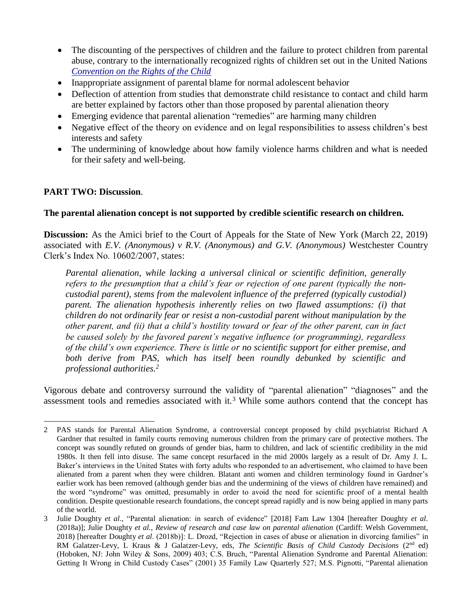- The discounting of the perspectives of children and the failure to protect children from parental abuse, contrary to the internationally recognized rights of children set out in the United Nations *[Convention on](https://www.ohchr.org/en/professionalinterest/pages/crc.aspx) the Rig[hts of the Child](https://www.ohchr.org/en/professionalinterest/pages/crc.aspx)*
- Inappropriate assignment of parental blame for normal adolescent behavior
- Deflection of attention from studies that demonstrate child resistance to contact and child harm are better explained by factors other than those proposed by parental alienation theory
- Emerging evidence that parental alienation "remedies" are harming many children
- Negative effect of the theory on evidence and on legal responsibilities to assess children's best interests and safety
- The undermining of knowledge about how family violence harms children and what is needed for their safety and well-being.

### **PART TWO: Discussion**.

### **The parental alienation concept is not supported by credible scientific research on children.**

**Discussion:** As the Amici brief to the Court of Appeals for the State of New York (March 22, 2019) associated with *E.V. (Anonymous) v R.V. (Anonymous) and G.V. (Anonymous)* Westchester Country Clerk's Index No. 10602/2007, states:

*Parental alienation, while lacking a universal clinical or scientific definition, generally refers to the presumption that a child's fear or rejection of one parent (typically the noncustodial parent), stems from the malevolent influence of the preferred (typically custodial) parent. The alienation hypothesis inherently relies on two flawed assumptions: (i) that children do not ordinarily fear or resist a non-custodial parent without manipulation by the other parent, and (ii) that a child's hostility toward or fear of the other parent, can in fact be caused solely by the favored parent's negative influence (or programming), regardless of the child's own experience. There is little or no scientific support for either premise, and both derive from PAS, which has itself been roundly debunked by scientific and professional authorities.<sup>2</sup>*

Vigorous debate and controversy surround the validity of "parental alienation" "diagnoses" and the assessment tools and remedies associated with it.<sup>3</sup> While some authors contend that the concept has

 $\overline{a}$ 2 PAS stands for Parental Alienation Syndrome, a controversial concept proposed by child psychiatrist Richard A Gardner that resulted in family courts removing numerous children from the primary care of protective mothers. The concept was soundly refuted on grounds of gender bias, harm to children, and lack of scientific credibility in the mid 1980s. It then fell into disuse. The same concept resurfaced in the mid 2000s largely as a result of Dr. Amy J. L. Baker's interviews in the United States with forty adults who responded to an advertisement, who claimed to have been alienated from a parent when they were children. Blatant anti women and children terminology found in Gardner's earlier work has been removed (although gender bias and the undermining of the views of children have remained) and the word "syndrome" was omitted, presumably in order to avoid the need for scientific proof of a mental health condition. Despite questionable research foundations, the concept spread rapidly and is now being applied in many parts of the world.

<sup>3</sup> Julie Doughty *et al*., "Parental alienation: in search of evidence" [2018] Fam Law 1304 [hereafter Doughty *et al*. (2018a)]; Julie Doughty *et al.*, *Review of research and case law on parental alienation* (Cardiff: Welsh Government, 2018) [hereafter Doughty *et al*. (2018b)]: L. Drozd, "Rejection in cases of abuse or alienation in divorcing families" in RM Galatzer-Levy, L Kraus & J Galatzer-Levy, eds, *The Scientific Basis of Child Custody Decisions* (2<sup>nd</sup> ed) (Hoboken, NJ: John Wiley & Sons, 2009) 403; C.S. Bruch, "Parental Alienation Syndrome and Parental Alienation: Getting It Wrong in Child Custody Cases" (2001) 35 Family Law Quarterly 527; M.S. Pignotti, "Parental alienation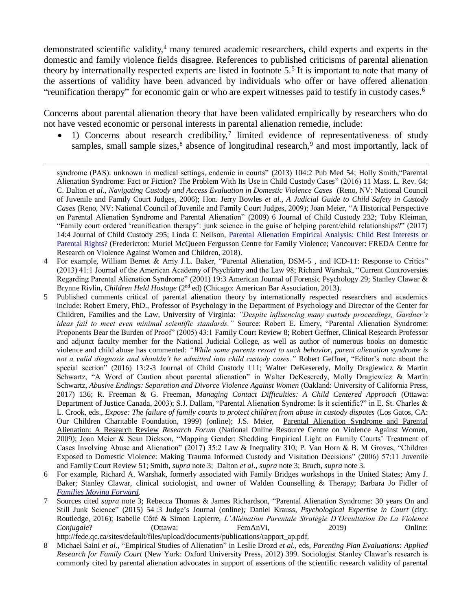demonstrated scientific validity,<sup>4</sup> many tenured academic researchers, child experts and experts in the domestic and family violence fields disagree. References to published criticisms of parental alienation theory by internationally respected experts are listed in footnote 5.<sup>5</sup> It is important to note that many of the assertions of validity have been advanced by individuals who offer or have offered alienation "reunification therapy" for economic gain or who are expert witnesses paid to testify in custody cases.<sup>6</sup>

Concerns about parental alienation theory that have been validated empirically by researchers who do not have vested economic or personal interests in parental alienation remedie, include:

 $\overline{a}$ 

 $\bullet$  1) Concerns about research credibility,<sup>7</sup> limited evidence of representativeness of study samples, small sample sizes,<sup>8</sup> absence of longitudinal research,<sup>9</sup> and most importantly, lack of

- 5 Published comments critical of parental alienation theory by internationally respected researchers and academics include: Robert Emery, PhD., Professor of Psychology in the Department of Psychology and Director of the Center for Children, Families and the Law, University of Virginia: *"Despite influencing many custody proceedings, Gardner's ideas fail to meet even minimal scientific standards."* Source: Robert E. Emery, "Parental Alienation Syndrome: Proponents Bear the Burden of Proof" (2005) 43:1 Family Court Review 8; Robert Geffner, Clinical Research Professor and adjunct faculty member for the National Judicial College, as well as author of numerous books on domestic violence and child abuse has commented: *"While some parents resort to such behavior, parent alienation syndrome is not a valid diagnosis and shouldn't be admitted into child custody cases."* Robert Geffner, "Editor's note about the special section" (2016) 13:2-3 Journal of Child Custody 111; Walter DeKeseredy, Molly Dragiewicz & Martin Schwartz, "A Word of Caution about parental alienation" in Walter DeKeseredy, Molly Dragiewicz & Martin Schwartz, *Abusive Endings: Separation and Divorce Violence Against Women* (Oakland: University of California Press, 2017) 136; R. Freeman & G. Freeman, *Managing Contact Difficulties: A Child Centered Approach* (Ottawa: Department of Justice Canada, 2003); S.J. Dallam, "Parental Alienation Syndrome: Is it scientific?" in E. St. Charles & L. Crook, eds., *Expose: The failure of family courts to protect children from abuse in custody disputes* (Los Gatos, CA: Our Children Charitable Foundation, 1999) (online); J.S. Meier, P[arental Alienation Syndrome and Parental](https://vawnet.org/material/parental-alienation-syndrome-and-parental-alienation-research-review)  [Alienation: A Research Review](https://vawnet.org/material/parental-alienation-syndrome-and-parental-alienation-research-review) *Research Forum* (National Online Resource Centre on Violence Against Women, 2009); Joan Meier & Sean Dickson, "Mapping Gender: Shedding Empirical Light on Family Courts' Treatment of Cases Involving Abuse and Alienation" (2017) 35:2 Law & Inequality 310; P. Van Horn & B. M Groves, "Children Exposed to Domestic Violence: Making Trauma Informed Custody and Visitation Decisions" (2006) 57:11 Juvenile and Family Court Review 51; Smith, *supra* note 3; Dalton *et al.*, *supra* note 3; Bruch, *supra* note 3.
- 6 For example, Richard A. Warshak, formerly associated with Family Bridges workshops in the United States; Amy J. Baker; Stanley Clawar, clinical sociologist, and owner of Walden Counselling & Therapy; Barbara Jo Fidler of *[Families Moving Forward](https://familiesmovingforward.ca/)*.
- 7 Sources cited *supra* note 3; Rebecca Thomas & James Richardson, "Parental Alienation Syndrome: 30 years On and Still Junk Science" (2015) 54 :3 Judge's Journal (online)*;* Daniel Krauss, *Psychological Expertise in Court* (city: Routledge, 2016); Isabelle Côté & Simon Lapierre, *L'Aliénation Parentale Stratégie D'Occultation De La Violence Conjugale*? **Contains (Ottawa:** FemAnVi, 2019) **Online:** 2019
- http://fede.qc.ca/sites/default/files/upload/documents/publications/rapport\_ap.pdf.
- 8 Michael Saini *et al*., "Empirical Studies of Alienation" in Leslie Drozd *et al.*, eds, *Parenting Plan Evaluations: Applied Research for Family Court* (New York: Oxford University Press, 2012) 399. Sociologist Stanley Clawar's research is commonly cited by parental alienation advocates in support of assertions of the scientific research validity of parental

syndrome (PAS): unknown in medical settings, endemic in courts" (2013) 104:2 Pub Med 54; Holly Smith,"Parental Alienation Syndrome: Fact or Fiction? The Problem With Its Use in Child Custody Cases" (2016) 11 Mass. L. Rev. 64; C. Dalton *et al.*, *Navigating Custody and Access Evaluation in Domestic Violence Cases* (Reno, NV: National Council of Juvenile and Family Court Judges, 2006); Hon. Jerry Bowles *et al.*, *A Judicial Guide to Child Safety in Custody Cases* (Reno, NV: National Council of Juvenile and Family Court Judges, 2009); Joan Meier, "A Historical Perspective on Parental Alienation Syndrome and Parental Alienation" (2009) 6 Journal of Child Custody 232; Toby Kleiman, "Family court ordered 'reunification therapy': junk science in the guise of helping parent/child relationships?" (2017) 14:4 Journal of Child Custody 295; Linda C Neilson, [Parental Alienation Empirical Analysis: Child Best Interests or](http://www.fredacentre.com/wp-content/uploads/2018/02/Parental-Alienation-Linda-Neilson.pdf)  [Parental Rights? \(](http://www.fredacentre.com/wp-content/uploads/2018/02/Parental-Alienation-Linda-Neilson.pdf)Fredericton: Muriel McQueen Fergusson Centre for Family Violence; Vancouver: FREDA Centre for Research on Violence Against Women and Children, 2018).

<sup>4</sup> For example, William Bernet & Amy J.L. Baker, "Parental Alienation, DSM-5 , and ICD-11: Response to Critics" (2013) 41:1 Journal of the American Academy of Psychiatry and the Law 98; Richard Warshak, "Current Controversies Regarding Parental Alienation Syndrome" (2001) 19:3 American Journal of Forensic Psychology 29; Stanley Clawar & Brynne Rivlin, *Children Held Hostage* (2<sup>nd</sup> ed) (Chicago: American Bar Association, 2013).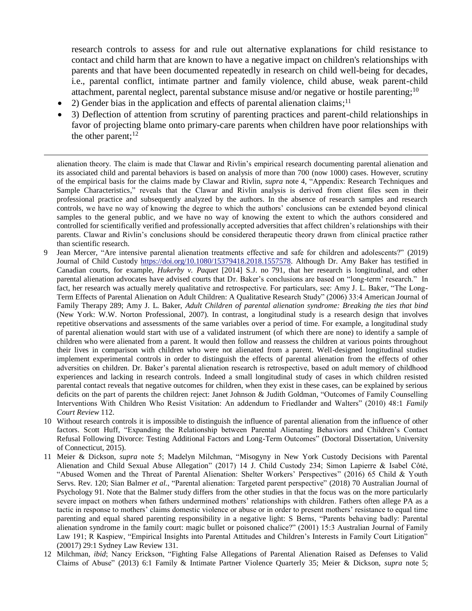research controls to assess for and rule out alternative explanations for child resistance to contact and child harm that are known to have a negative impact on children's relationships with parents and that have been documented repeatedly in research on child well-being for decades, i.e., parental conflict, intimate partner and family violence, child abuse, weak parent-child attachment, parental neglect, parental substance misuse and/or negative or hostile parenting;<sup>10</sup>

• 2) Gender bias in the application and effects of parental alienation claims;<sup>11</sup>

 $\overline{a}$ 

• 3) Deflection of attention from scrutiny of parenting practices and parent-child relationships in favor of projecting blame onto primary-care parents when children have poor relationships with the other parent; $^{12}$ 

alienation theory. The claim is made that Clawar and Rivlin's empirical research documenting parental alienation and its associated child and parental behaviors is based on analysis of more than 700 (now 1000) cases. However, scrutiny of the empirical basis for the claims made by Clawar and Rivlin, *supra* note 4, "Appendix: Research Techniques and Sample Characteristics," reveals that the Clawar and Rivlin analysis is derived from client files seen in their professional practice and subsequently analyzed by the authors. In the absence of research samples and research controls, we have no way of knowing the degree to which the authors' conclusions can be extended beyond clinical samples to the general public, and we have no way of knowing the extent to which the authors considered and controlled for scientifically verified and professionally accepted adversities that affect children's relationships with their parents. Clawar and Rivlin's conclusions should be considered therapeutic theory drawn from clinical practice rather than scientific research.

- 9 Jean Mercer, "Are intensive parental alienation treatments effective and safe for children and adolescents?" (2019) Journal of Child Custody [https://doi.org/10.1080/15379418.2018.1557578.](https://doi.org/10.1080/15379418.2018.1557578) Although Dr. Amy Baker has testified in Canadian courts, for example, *Hukerby v. Paquet* [2014] S.J. no 791, that her research is longitudinal, and other parental alienation advocates have advised courts that Dr. Baker's conclusions are based on "long-term' research." In fact, her research was actually merely qualitative and retrospective. For particulars, see: Amy J. L. Baker, "The Long-Term Effects of Parental Alienation on Adult Children: A Qualitative Research Study" (2006) 33:4 American Journal of Family Therapy 289; Amy J. L. Baker, *Adult Children of parental alienation syndrome: Breaking the ties that bind*  (New York: W.W. Norton Professional, 2007). In contrast, a longitudinal study is a research design that involves repetitive observations and assessments of the same variables over a period of time. For example, a longitudinal study of parental alienation would start with use of a validated instrument (of which there are none) to identify a sample of children who were alienated from a parent. It would then follow and reassess the children at various points throughout their lives in comparison with children who were not alienated from a parent. Well-designed longitudinal studies implement experimental controls in order to distinguish the effects of parental alienation from the effects of other adversities on children. Dr. Baker's parental alienation research is retrospective, based on adult memory of childhood experiences and lacking in research controls. Indeed a small longitudinal study of cases in which children resisted parental contact reveals that negative outcomes for children, when they exist in these cases, can be explained by serious deficits on the part of parents the children reject: Janet Johnson & Judith Goldman, "Outcomes of Family Counselling Interventions With Children Who Resist Visitation: An addendum to Friedlander and Walters" (2010) 48:1 *Family Court Review* 112.
- 10 Without research controls it is impossible to distinguish the influence of parental alienation from the influence of other factors. Scott Huff, "Expanding the Relationship between Parental Alienating Behaviors and Children's Contact Refusal Following Divorce: Testing Additional Factors and Long-Term Outcomes" (Doctoral Dissertation, University of Connecticut, 2015).
- 11 Meier & Dickson, *supra* note 5; Madelyn Milchman, "Misogyny in New York Custody Decisions with Parental Alienation and Child Sexual Abuse Allegation" (2017) 14 J. Child Custody 234; Simon Lapierre & Isabel Côté, "Abused Women and the Threat of Parental Alienation: Shelter Workers' Perspectives" (2016) 65 Child & Youth Servs. Rev. 120; Sian Balmer *et al.*, "Parental alienation: Targeted parent perspective" (2018) 70 Australian Journal of Psychology 91. Note that the Balmer study differs from the other studies in that the focus was on the more particularly severe impact on mothers when fathers undermined mothers' relationships with children. Fathers often allege PA as a tactic in response to mothers' claims domestic violence or abuse or in order to present mothers' resistance to equal time parenting and equal shared parenting responsibility in a negative light: S Berns, "Parents behaving badly: Parental alienation syndrome in the family court: magic bullet or poisoned chalice?" (2001) 15:3 Australian Journal of Family Law 191; R Kaspiew, "Empirical Insights into Parental Attitudes and Children's Interests in Family Court Litigation" (20017) 29:1 Sydney Law Review 131.
- 12 Milchman, *ibid*; Nancy Erickson, "Fighting False Allegations of Parental Alienation Raised as Defenses to Valid Claims of Abuse" (2013) 6:1 Family & Intimate Partner Violence Quarterly 35; Meier & Dickson, *supra* note 5;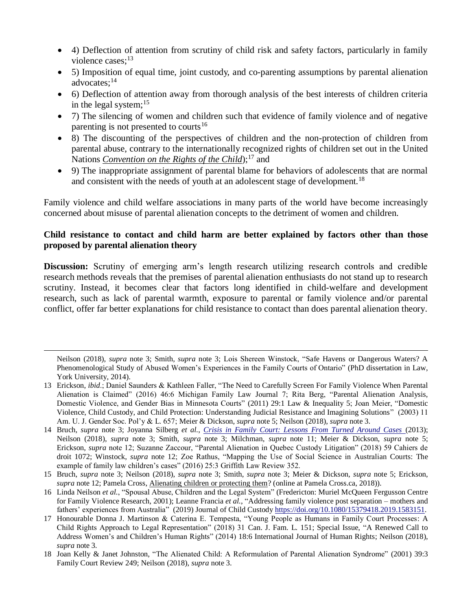- 4) Deflection of attention from scrutiny of child risk and safety factors, particularly in family violence cases:<sup>13</sup>
- 5) Imposition of equal time, joint custody, and co-parenting assumptions by parental alienation advocates:<sup>14</sup>
- 6) Deflection of attention away from thorough analysis of the best interests of children criteria in the legal system; $^{15}$
- 7) The silencing of women and children such that evidence of family violence and of negative parenting is not presented to courts<sup>16</sup>
- 8) The discounting of the perspectives of children and the non-protection of children from parental abuse, contrary to the internationally recognized rights of children set out in the United Nations *[Convention on](https://www.ohchr.org/en/professionalinterest/pages/crc.aspx) the Rig[hts of the Child](https://www.ohchr.org/en/professionalinterest/pages/crc.aspx)*);<sup>17</sup> and
- 9) The inappropriate assignment of parental blame for behaviors of adolescents that are normal and consistent with the needs of youth at an adolescent stage of development.<sup>18</sup>

Family violence and child welfare associations in many parts of the world have become increasingly concerned about misuse of parental alienation concepts to the detriment of women and children.

## **Child resistance to contact and child harm are better explained by factors other than those proposed by parental alienation theory**

**Discussion:** Scrutiny of emerging arm's length research utilizing research controls and credible research methods reveals that the premises of parental alienation enthusiasts do not stand up to research scrutiny. Instead, it becomes clear that factors long identified in child-welfare and development research, such as lack of parental warmth, exposure to parental or family violence and/or parental conflict, offer far better explanations for child resistance to contact than does parental alienation theory.

Neilson (2018), *supra* note 3; Smith, *supra* note 3; Lois Shereen Winstock, "Safe Havens or Dangerous Waters? A Phenomenological Study of Abused Women's Experiences in the Family Courts of Ontario" (PhD dissertation in Law, York University, 2014).

13 Erickson, *ibid*.; Daniel Saunders & Kathleen Faller, "The Need to Carefully Screen For Family Violence When Parental Alienation is Claimed" (2016) 46:6 Michigan Family Law Journal 7; Rita Berg, "Parental Alienation Analysis, Domestic Violence, and Gender Bias in Minnesota Courts" (2011) 29:1 Law & Inequality 5; Joan Meier, "Domestic Violence, Child Custody, and Child Protection: Understanding Judicial Resistance and Imagining Solutions" (2003) 11 Am. U. J. Gender Soc. Pol'y & L. 657; Meier & Dickson, *supra* note 5; Neilson (2018), *supra* note 3.

- 14 Bruch, *supra* note 3; Joyanna Silberg *et al.*, *[Crisis in Family Court: Lessons From Turned Around Cases](https://irp-cdn.multiscreensite.com/0dab915e/files/uploaded/crisis-fam-court-lessons-turned-around-cases.pdf)* (2013); Neilson (2018), *supra* note 3; Smith, *supra* note 3; Milchman, *supra* note 11; Meier & Dickson, *supra* note 5; Erickson, *supra* note 12; Suzanne Zaccour, "Parental Alienation in Quebec Custody Litigation" (2018) 59 Cahiers de droit 1072; Winstock, *supra* note 12; Zoe Rathus, "Mapping the Use of Social Science in Australian Courts: The example of family law children's cases" (2016) 25:3 Griffith Law Review 352.
- 15 Bruch, *supra* note 3; Neilson (2018), *supra* note 3; Smith, *supra* note 3; Meier & Dickson, *supra* note 5; Erickson, *supra* note 12; Pamela Cross, [Alienating children or protecting them?](https://pamelacross.ca/alienating-children-protecting/) (online at Pamela Cross.ca, 2018)).
- 16 Linda Neilson *et al.*, "Spousal Abuse, Children and the Legal System" (Fredericton: Muriel McQueen Fergusson Centre for Family Violence Research, 2001); Leanne Francia *et al.*, "Addressing family violence post separation – mothers and fathers' experiences from Australia" (2019) Journal of Child Custody [https://doi.org/10.1080/15379418.2019.1583151.](https://doi.org/10.1080/15379418.2019.1583151)
- 17 Honourable Donna J. Martinson & Caterina E. Tempesta, "Young People as Humans in Family Court Processes: A Child Rights Approach to Legal Representation" (2018) 31 Can. J. Fam. L*.* 151; Special Issue, "A Renewed Call to Address Women's and Children's Human Rights" (2014) 18:6 International Journal of Human Rights; Neilson (2018), *supra* note 3.
- 18 Joan Kelly & Janet Johnston, "The Alienated Child: A Reformulation of Parental Alienation Syndrome" (2001) 39:3 Family Court Review 249; Neilson (2018), *supra* note 3.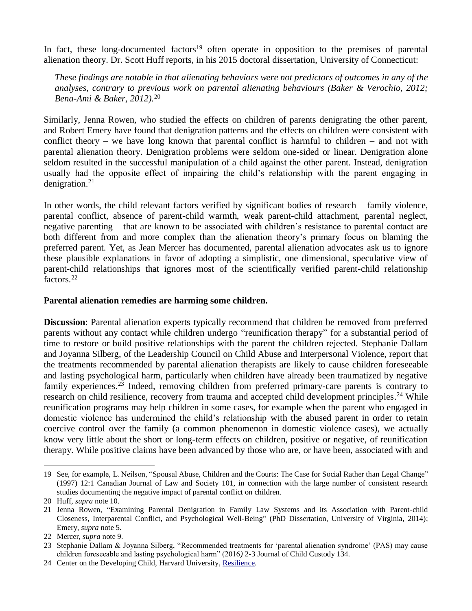In fact, these long-documented factors<sup>19</sup> often operate in opposition to the premises of parental alienation theory. Dr. Scott Huff reports, in his 2015 doctoral dissertation, University of Connecticut:

*These findings are notable in that alienating behaviors were not predictors of outcomes in any of the analyses, contrary to previous work on parental alienating behaviours (Baker & Verochio, 2012; Bena-Ami & Baker, 2012).*<sup>20</sup>

Similarly, Jenna Rowen, who studied the effects on children of parents denigrating the other parent, and Robert Emery have found that denigration patterns and the effects on children were consistent with conflict theory – we have long known that parental conflict is harmful to children – and not with parental alienation theory. Denigration problems were seldom one-sided or linear. Denigration alone seldom resulted in the successful manipulation of a child against the other parent. Instead, denigration usually had the opposite effect of impairing the child's relationship with the parent engaging in denigration.<sup>21</sup>

In other words, the child relevant factors verified by significant bodies of research – family violence, parental conflict, absence of parent-child warmth, weak parent-child attachment, parental neglect, negative parenting – that are known to be associated with children's resistance to parental contact are both different from and more complex than the alienation theory's primary focus on blaming the preferred parent. Yet, as Jean Mercer has documented, parental alienation advocates ask us to ignore these plausible explanations in favor of adopting a simplistic, one dimensional, speculative view of parent-child relationships that ignores most of the scientifically verified parent-child relationship factors.<sup>22</sup>

#### **Parental alienation remedies are harming some children.**

**Discussion**: Parental alienation experts typically recommend that children be removed from preferred parents without any contact while children undergo "reunification therapy" for a substantial period of time to restore or build positive relationships with the parent the children rejected. Stephanie Dallam and Joyanna Silberg, of the Leadership Council on Child Abuse and Interpersonal Violence, report that the treatments recommended by parental alienation therapists are likely to cause children foreseeable and lasting psychological harm, particularly when children have already been traumatized by negative family experiences.<sup>23</sup> Indeed, removing children from preferred primary-care parents is contrary to research on child resilience, recovery from trauma and accepted child development principles.<sup>24</sup> While reunification programs may help children in some cases, for example when the parent who engaged in domestic violence has undermined the child's relationship with the abused parent in order to retain coercive control over the family (a common phenomenon in domestic violence cases), we actually know very little about the short or long-term effects on children, positive or negative, of reunification therapy. While positive claims have been advanced by those who are, or have been, associated with and

<sup>19</sup> See, for example, L. Neilson, "Spousal Abuse, Children and the Courts: The Case for Social Rather than Legal Change" (1997) 12:1 Canadian Journal of Law and Society 101, in connection with the large number of consistent research studies documenting the negative impact of parental conflict on children.

<sup>20</sup> Huff, *supra* note 10.

<sup>21</sup> Jenna Rowen, "Examining Parental Denigration in Family Law Systems and its Association with Parent-child Closeness, Interparental Conflict, and Psychological Well-Being" (PhD Dissertation, University of Virginia, 2014); Emery, *supra* note 5.

<sup>22</sup> Mercer, *supra* note 9.

<sup>23</sup> Stephanie Dallam & Joyanna Silberg, "Recommended treatments for 'parental alienation syndrome' (PAS) may cause children foreseeable and lasting psychological harm" (2016*)* 2-3 Journal of Child Custody 134.

<sup>24</sup> Center on the Developing Child, Harvard University, [Resilience.](https://developingchild.harvard.edu/science/key-concepts/resilience/)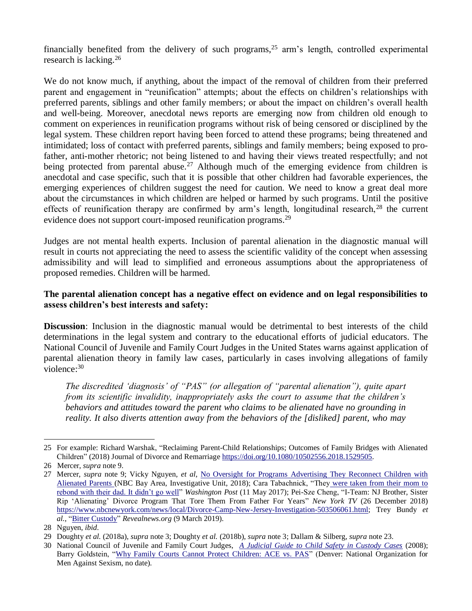financially benefited from the delivery of such programs,<sup>25</sup> arm's length, controlled experimental research is lacking. 26

We do not know much, if anything, about the impact of the removal of children from their preferred parent and engagement in "reunification" attempts; about the effects on children's relationships with preferred parents, siblings and other family members; or about the impact on children's overall health and well-being. Moreover, anecdotal news reports are emerging now from children old enough to comment on experiences in reunification programs without risk of being censored or disciplined by the legal system. These children report having been forced to attend these programs; being threatened and intimidated; loss of contact with preferred parents, siblings and family members; being exposed to profather, anti-mother rhetoric; not being listened to and having their views treated respectfully; and not being protected from parental abuse.<sup>27</sup> Although much of the emerging evidence from children is anecdotal and case specific, such that it is possible that other children had favorable experiences, the emerging experiences of children suggest the need for caution. We need to know a great deal more about the circumstances in which children are helped or harmed by such programs. Until the positive effects of reunification therapy are confirmed by arm's length, longitudinal research,<sup>28</sup> the current evidence does not support court-imposed reunification programs.<sup>29</sup>

Judges are not mental health experts. Inclusion of parental alienation in the diagnostic manual will result in courts not appreciating the need to assess the scientific validity of the concept when assessing admissibility and will lead to simplified and erroneous assumptions about the appropriateness of proposed remedies. Children will be harmed.

## **The parental alienation concept has a negative effect on evidence and on legal responsibilities to assess children's best interests and safety:**

**Discussion**: Inclusion in the diagnostic manual would be detrimental to best interests of the child determinations in the legal system and contrary to the educational efforts of judicial educators. The National Council of Juvenile and Family Court Judges in the United States warns against application of parental alienation theory in family law cases, particularly in cases involving allegations of family violence:<sup>30</sup>

*The discredited 'diagnosis' of "PAS" (or allegation of "parental alienation"), quite apart from its scientific invalidity, inappropriately asks the court to assume that the children's behaviors and attitudes toward the parent who claims to be alienated have no grounding in reality. It also diverts attention away from the behaviors of the [disliked] parent, who may* 

<sup>25</sup> For example: Richard Warshak, "Reclaiming Parent-Child Relationships; Outcomes of Family Bridges with Alienated Children" (2018) Journal of Divorce and Remarriage [https://doi.org/10.1080/10502556.2018.1529505.](https://doi.org/10.1080/10502556.2018.1529505)

<sup>26</sup> Mercer, *supra* note 9.

<sup>27</sup> Mercer, *supra* note 9; Vicky Nguyen, *et al*, [No](https://www.nbcbayarea.com/investigations/No-Oversight-for-Programs-Advertising-They-Reconnect-Children-with-Alienated-Parents-499412851.html) [Oversight for Programs Advertising They Reconnect Children with](https://www.nbcbayarea.com/investigations/No-Oversight-for-Programs-Advertising-They-Reconnect-Children-with-Alienated-Parents-499412851.html)  [Alienated Parents \(](https://www.nbcbayarea.com/investigations/No-Oversight-for-Programs-Advertising-They-Reconnect-Children-with-Alienated-Parents-499412851.html)NBC Bay Area, Investigative Unit, 2018); Cara Tabachnick, "They [were taken from their mom to](https://www.washingtonpost.com/lifestyle/magazine/a-divorced-father-his-estranged-kids-and-a-controversial-program-to-bring-them-together/2017/05/09/b50ac6f6-204c-11e7-ad74-3a742a6e93a7_story.html?utm_term=.670068ee3942)  [rebond with their dad. It didn't go well"](https://www.washingtonpost.com/lifestyle/magazine/a-divorced-father-his-estranged-kids-and-a-controversial-program-to-bring-them-together/2017/05/09/b50ac6f6-204c-11e7-ad74-3a742a6e93a7_story.html?utm_term=.670068ee3942) *Washington Post* (11 May 2017); Pei-Sze Cheng, "I-Team: NJ Brother, Sister Rip 'Alienating' Divorce Program That Tore Them From Father For Years" *New York TV* (26 December 2018) [https://www.nbcnewyork.com/news/local/Divorce-Camp-New-Jersey-Investigation-503506061.html;](https://www.nbcnewyork.com/news/local/Divorce-Camp-New-Jersey-Investigation-503506061.html) Trey Bundy *et al.*, ["Bitter Custody"](https://www.revealnews.org/episodes/bitter-custody/) *Revealnews.org* (9 March 2019).

<sup>28</sup> Nguyen, *ibid*.

<sup>29</sup> Doughty *et al.* (2018a), *supra* note 3; Doughty *et al.* (2018b), *supra* note 3; Dallam & Silberg, *supra* note 23.

<sup>30</sup> National Council of Juvenile and Family Court Judges, *[A Judicial Guide to Child Safety in Custody Cases](http://www.ncjfcj.org/sites/default/files/judicial%20guide_0_0.pdf)* (2008); Barry Goldstein, ["Why Family Courts Cannot Protect Children: ACE vs. PAS"](http://nomas.org/family-courts-protect-children-ace-vs-pas/) (Denver: National Organization for Men Against Sexism, no date).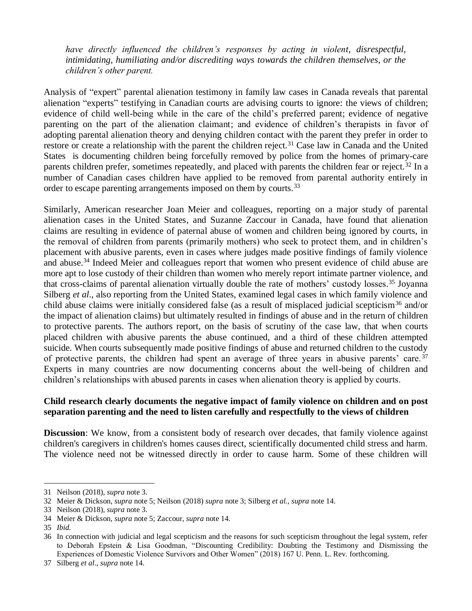*have directly influenced the children's responses by acting in violent, disrespectful, intimidating, humiliating and/or discrediting ways towards the children themselves, or the children's other parent.*

Analysis of "expert" parental alienation testimony in family law cases in Canada reveals that parental alienation "experts" testifying in Canadian courts are advising courts to ignore: the views of children; evidence of child well-being while in the care of the child's preferred parent; evidence of negative parenting on the part of the alienation claimant; and evidence of children's therapists in favor of adopting parental alienation theory and denying children contact with the parent they prefer in order to restore or create a relationship with the parent the children reject.<sup>31</sup> Case law in Canada and the United States is documenting children being forcefully removed by police from the homes of primary-care parents children prefer, sometimes repeatedly, and placed with parents the children fear or reject.<sup>32</sup> In a number of Canadian cases children have applied to be removed from parental authority entirely in order to escape parenting arrangements imposed on them by courts.<sup>33</sup>

Similarly, American researcher Joan Meier and colleagues, reporting on a major study of parental alienation cases in the United States, and Suzanne Zaccour in Canada, have found that alienation claims are resulting in evidence of paternal abuse of women and children being ignored by courts, in the removal of children from parents (primarily mothers) who seek to protect them, and in children's placement with abusive parents, even in cases where judges made positive findings of family violence and abuse.<sup>34</sup> Indeed Meier and colleagues report that women who present evidence of child abuse are more apt to lose custody of their children than women who merely report intimate partner violence, and that cross-claims of parental alienation virtually double the rate of mothers' custody losses. <sup>35</sup> Joyanna Silberg *et al.*, also reporting from the United States, examined legal cases in which family violence and child abuse claims were initially considered false (as a result of misplaced judicial scepticism<sup>36</sup> and/or the impact of alienation claims) but ultimately resulted in findings of abuse and in the return of children to protective parents. The authors report, on the basis of scrutiny of the case law, that when courts placed children with abusive parents the abuse continued, and a third of these children attempted suicide. When courts subsequently made positive findings of abuse and returned children to the custody of protective parents, the children had spent an average of three years in abusive parents' care. <sup>37</sup> Experts in many countries are now documenting concerns about the well-being of children and children's relationships with abused parents in cases when alienation theory is applied by courts.

### **Child research clearly documents the negative impact of family violence on children and on post separation parenting and the need to listen carefully and respectfully to the views of children**

**Discussion**: We know, from a consistent body of research over decades, that family violence against children's caregivers in children's homes causes direct, scientifically documented child stress and harm. The violence need not be witnessed directly in order to cause harm. Some of these children will

<sup>31</sup> Neilson (2018), *supra* note 3.

<sup>32</sup> Meier & Dickson, *supra* note 5; Neilson (2018) *supra* note 3; Silberg *et al.*, *supra* note 14.

<sup>33</sup> Neilson (2018), *supra* note 3.

<sup>34</sup> Meier & Dickson, *supra* note 5; Zaccour, *supra* note 14.

<sup>35</sup> *Ibid.*

<sup>36</sup> In connection with judicial and legal scepticism and the reasons for such scepticism throughout the legal system, refer to Deborah Epstein & Lisa Goodman, "Discounting Credibility: Doubting the Testimony and Dismissing the Experiences of Domestic Violence Survivors and Other Women" (2018) 167 U. Penn. L. Rev. forthcoming.

<sup>37</sup> Silberg *et al*., *supra* note 14.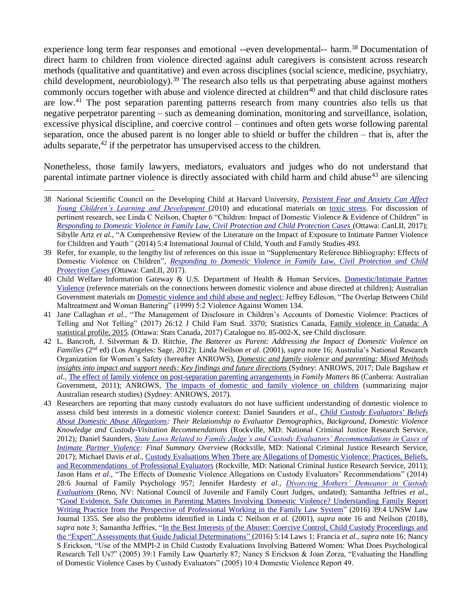experience long term fear responses and emotional --even developmental-- harm.<sup>38</sup> Documentation of direct harm to children from violence directed against adult caregivers is consistent across research methods (qualitative and quantitative) and even across disciplines (social science, medicine, psychiatry, child development, neurobiology).<sup>39</sup> The research also tells us that perpetrating abuse against mothers commonly occurs together with abuse and violence directed at children $40$  and that child disclosure rates are low.<sup>41</sup> The post separation parenting patterns research from many countries also tells us that negative perpetrator parenting – such as demeaning domination, monitoring and surveillance, isolation, excessive physical discipline, and coercive control – continues and often gets worse following parental separation, once the abused parent is no longer able to shield or buffer the children – that is, after the adults separate,<sup>42</sup> if the perpetrator has unsupervised access to the children.

Nonetheless, those family lawyers, mediators, evaluators and judges who do not understand that parental intimate partner violence is directly associated with child harm and child abuse<sup>43</sup> are silencing

- 40 Child Welfare Information Gateway & U.S. Department of Health & Human Services, [Domestic/Intimate Partner](https://www.childwelfare.gov/topics/can/factors/family/domviolence/)  [Violence](https://www.childwelfare.gov/topics/can/factors/family/domviolence/) (reference materials on the connections between domestic violence and abuse directed at children); Australian Government materials on [Domestic violence and child abuse and neglect;](https://aifs.gov.au/cfca/bibliography/domestic-violence-and-child-abuse-and-neglect) Jeffrey Edleson, "The Overlap Between Child Maltreatment and Woman Battering" (1999) 5:2 Violence Against Women 134.
- 41 Jane Callaghan *et al.*, "The Management of Disclosure in Children's Accounts of Domestic Violence: Practices of Telling and Not Telling" (2017) 26:12 J Child Fam Stud. 3370; Statistics Canada, [Family violence in Canada: A](https://www150.statcan.gc.ca/n1/en/pub/85-002-x/2017001/article/14698-eng.pdf?st=4cxeMQV9)  [statistical profile,](https://www150.statcan.gc.ca/n1/en/pub/85-002-x/2017001/article/14698-eng.pdf?st=4cxeMQV9) 2015. (Ottawa: Stats Canada, 2017) Catalogue no. 85-002-X, see Child disclosure.
- 42 L. Bancroft, J. Silverman & D. Ritchie, *The Batterer as Parent: Addressing the Impact of Domestic Violence on Families* (2nd ed) (Los Angeles: Sage, 2012); Linda Neilson *et al.* (2001), *supra* note 16; Australia's National Research Organization for Women's Safety (hereafter ANROWS), *[Domestic and family violence and parenting: Mixed Methods](https://www.anrows.org.au/wp-content/uploads/2019/02/Parenting_Compass.pdf)  [insights into impact and support needs: Key findings and future directions](https://www.anrows.org.au/wp-content/uploads/2019/02/Parenting_Compass.pdf) (Sydney: ANROWS, 2017; Dale Bagshaw et al.*, [The effect of family violence on](https://aifs.gov.au/publications/family-matters/issue-86/effect-family-violence-post-separation-parenting-arrangements) [post-separation parenting arrangements i](https://aifs.gov.au/publications/family-matters/issue-86/effect-family-violence-post-separation-parenting-arrangements)n *Family Matters* 86 (Canberra: Australian Government, 2011); ANROWS, [The impacts of domestic and family violence on children](https://dh2wpaq0gtxwe.cloudfront.net/ANROWS_Impacts-on-DFV-on-Children.2ed.pdf) (summarizing major Australian research studies) (Sydney: ANROWS, 2017).
- 43 Researchers are reporting that many custody evaluators do not have sufficient understanding of domestic violence to assess child best interests in a domestic violence context: Daniel Saunders *et al.*, *[Child Custody Evaluators' Beliefs](https://www.ncjrs.gov/pdffiles1/nij/grants/238891.pdf)  [About Domestic Abuse Allegations:](https://www.ncjrs.gov/pdffiles1/nij/grants/238891.pdf) Their Relationship to Evaluator Demographics, Background, Domestic Violence Knowledge and Custody-Visitation Recommendations* (Rockville, MD: National Criminal Justice Research Service, 2012)*;* Daniel Saunders, *[State Laws Related to Family Judge's and Custody Evaluators' Recommendations in Cases of](https://www.ncjrs.gov/pdffiles1/nij/grants/250667.pdf)  Intimate [Partner Violence:](https://www.ncjrs.gov/pdffiles1/nij/grants/250667.pdf) Final Summary Overview* (Rockville, MD: National Criminal Justice Research Service, 2017); Michael Davis *et al.*, [Custody Evaluations When There are Allegations of Domestic Violence: Practices, Beliefs,](https://www.ncjrs.gov/pdffiles1/nij/grants/234465.pdf)  [and Recommendations of Professional Evaluators](https://www.ncjrs.gov/pdffiles1/nij/grants/234465.pdf) (Rockville, MD: National Criminal Justice Research Service, 2011); Jason Hans *et al.,* "The Effects of Domestic Violence Allegations on Custody Evaluators' Recommendations" (2014) 28:6 Journal of Family Psychology 957; Jennifer Hardesty *et al., [Divorcing Mothers' Demeanor in Custody](http://www.ncjfcj.org/sites/default/files/Divorcing%20Mothers)  [Evaluations](http://www.ncjfcj.org/sites/default/files/Divorcing%20Mothers)* (Reno, NV: National Council of Juvenile and Family Court Judges, undated); Samantha Jeffries *et al.*, ["Good Evidence, Safe Outcomes in Parenting Matters Involving Domestic Violence? Understanding Family Report](http://classic.austlii.edu.au/au/journals/UNSWLawJl/2016/50.html)  [Writing Practice from the Perspective of Professional Working in](http://classic.austlii.edu.au/au/journals/UNSWLawJl/2016/50.html) the Family Law System" (2016) 39:4 UNSW Law Journal 1355*.* See also the problems identified in Linda C Neilson *et al.* (2001), *supra* note 16 and Neilson (2018), *supra* note 3; Samantha Jeffries, ["In the Best Interests of the Abuser: Coercive Control, Child Custody Proceedings and](https://www.mdpi.com/2075-471X/5/1/14/pdf)  [the "Expert" Assessments that Guide Judicial Determinations"](https://www.mdpi.com/2075-471X/5/1/14/pdf) (2016) 5:14 Laws 1; Francia *et al.*, *supra* note 16; Nancy S Erickson, "Use of the MMPI-2 in Child Custody Evaluations Involving Battered Women: What Does Psychological Research Tell Us?" (2005) 39:1 Family Law Quarterly 87; Nancy S Erickson & Joan Zorza, "Evaluating the Handling of Domestic Violence Cases by Custody Evaluators" (2005) 10:4 Domestic Violence Report 49.

<sup>38</sup> National Scientific Council on the Developing Child at Harvard University, *[Persistent Fear and Anxiety Can Affect](https://developingchild.harvard.edu/resources/persistent-fear-and-anxiety-can-affect-young-childrens-learning-and-development/)  [Young Children's Learning and Development](https://developingchild.harvard.edu/resources/persistent-fear-and-anxiety-can-affect-young-childrens-learning-and-development/) (2010)* and educational materials on [toxic stress.](https://developingchild.harvard.edu/science/key-concepts/toxic-stress/) For discussion of pertinent research, see Linda C Neilson, Chapter 6 "Children: Impact of Domestic Violence & Evidence of Children" in *[Responding to Domestic Violence in Family Law, Civil Protection and Child Protection Cases](http://commentary.canlii.org/w/canlii/2017CanLIIDocs2)* (Ottawa: CanLII, 2017); Sibylle Artz *et al.,* "A Comprehensive Review of the Literature on the Impact of Exposure to Intimate Partner Violence for Children and Youth*"* (2014) 5:4 International Journal of Child, Youth and Family Studies 493.

<sup>39</sup> Refer, for example, to the lengthy list of references on this issue in "Supplementary Reference Bibliography: Effects of Domestic Violence on Children", *[Responding to Domestic Violence in Family Law, Civil Protection and Child](http://commentary.canlii.org/w/canlii/2017CanLIIDocs2)  [Protection Cases](http://commentary.canlii.org/w/canlii/2017CanLIIDocs2)* (Ottawa: CanLII, 2017).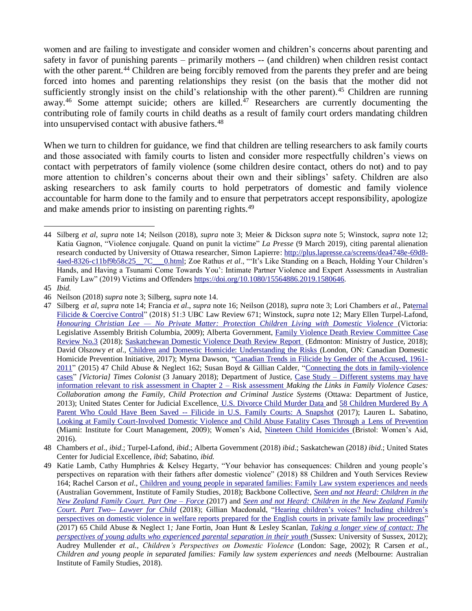women and are failing to investigate and consider women and children's concerns about parenting and safety in favor of punishing parents – primarily mothers -- (and children) when children resist contact with the other parent.<sup>44</sup> Children are being forcibly removed from the parents they prefer and are being forced into homes and parenting relationships they resist (on the basis that the mother did not sufficiently strongly insist on the child's relationship with the other parent).<sup>45</sup> Children are running away.<sup>46</sup> Some attempt suicide; others are killed.<sup>47</sup> Researchers are currently documenting the contributing role of family courts in child deaths as a result of family court orders mandating children into unsupervised contact with abusive fathers.<sup>48</sup>

When we turn to children for guidance, we find that children are telling researchers to ask family courts and those associated with family courts to listen and consider more respectfully children's views on contact with perpetrators of family violence (some children desire contact, others do not) and to pay more attention to children's concerns about their own and their siblings' safety. Children are also asking researchers to ask family courts to hold perpetrators of domestic and family violence accountable for harm done to the family and to ensure that perpetrators accept responsibility, apologize and make amends prior to insisting on parenting rights.<sup>49</sup>

<sup>44</sup> Silberg *et al*, *supra* note 14; Neilson (2018), *supra* note 3; Meier & Dickson *supra* note 5; Winstock, *supra* note 12; Katia Gagnon, "Violence conjugale. Quand on punit la victim[e"](http://collections.banq.qc.ca/ark:/52327/bs3623811) *La Presse* (9 March 2019), citing parental alienation research conducted by University of Ottawa researcher, Simon Lapierre: [http://plus.lapresse.ca/screens/dea4748e-69d8-](http://plus.lapresse.ca/screens/dea4748e-69d8-4aed-8326-c11bf9b58c25__7C___0.html) [4aed-8326-c11bf9b58c25\\_\\_7C\\_\\_\\_0.html;](http://plus.lapresse.ca/screens/dea4748e-69d8-4aed-8326-c11bf9b58c25__7C___0.html) Zoe Rathus *et al*., "'It's Like Standing on a Beach, Holding Your Children's Hands, and Having a Tsunami Come Towards You': Intimate Partner Violence and Expert Assessments in Australian Family Law" (2019) Victims and Offenders [https://doi.org/10.1080/15564886.2019.1580646.](https://doi.org/10.1080/15564886.2019.1580646)

<sup>45</sup> *Ibid.*

<sup>46</sup> Neilson (2018) *supra* note 3; Silberg, *supra* note 14.

<sup>47</sup> Silberg *et al*, *supra* note 14; Francia *et al*., *supra* note 16; Neilson (2018), *supra* note 3; Lori Chambers *et al.,* Pa[ternal](http://www.buildingabiggerwave.org/images/uploads/Paternal_Filicide_and_Coercive_Control_-_Cotton_v_Berry.pdf)  [Filicide & Coercive Control"](http://www.buildingabiggerwave.org/images/uploads/Paternal_Filicide_and_Coercive_Control_-_Cotton_v_Berry.pdf) (2018) 51:3 UBC Law Review 671; Winstock, *supra* note 12; Mary Ellen Turpel-Lafond, *Honouring Christian Lee — [No Private Matter: Protection Children Living with Domestic Violence](https://rcybc.ca/sites/default/files/documents/pdf/reports_publications/honouring_christian_lee.pdf)* (Victoria: Legislative Assembly British Columbia, 2009); Alberta Government, [Family Violence Death Review Committee Case](http://www.humanservices.alberta.ca/documents/css-fvdrc-case-review-report-3.pdf)  [Review No.3](http://www.humanservices.alberta.ca/documents/css-fvdrc-case-review-report-3.pdf) (2018); [Saskatchewan Domestic Violence Death Review Report](https://www.saskatchewan.ca/~/media/news%20release%20backgrounders/2018/may/sk%20dv%20death%20review%20report.pdf) (Edmonton: Ministry of Justice, 2018); David Olszowy *et al*., [Children and Domestic Homicide: Understanding the Risks \(](http://cdhpi.ca/sites/cdhpi.ca/files/Brief_3-Final.pdf)London, ON: Canadian Domestic Homicide Prevention Initiative, 2017); Myrna Dawson, ["Canadian Trends in Filicide by Gender of the Accused, 1961-](https://www.violenceresearch.ca/sites/default/files/journal/DAWSON%20(2015)%20CANADIAN%20TRENDS%20IN%20FILICIDE_1.pdf) [2011"](https://www.violenceresearch.ca/sites/default/files/journal/DAWSON%20(2015)%20CANADIAN%20TRENDS%20IN%20FILICIDE_1.pdf) (2015) 47 Child Abuse & Neglect 162; Susan Boyd & Gillian Calder, ["Connecting the dots in family-violence](https://www.timescolonist.com/opinion/op-ed/comment-connecting-the-dots-in-family-violence-cases-1.23134672)  [cases"](https://www.timescolonist.com/opinion/op-ed/comment-connecting-the-dots-in-family-violence-cases-1.23134672) *[Victoria] Times Colonist* (3 January 2018); Department of Justice, Case Study – [Different systems may have](https://www.justice.gc.ca/eng/rp-pr/cj-jp/fv-vf/mlfvc-elcvf/p4.html)  [information relevant to risk assessment in Chapter 2 –](https://www.justice.gc.ca/eng/rp-pr/cj-jp/fv-vf/mlfvc-elcvf/p4.html) Risk assessment *Making the Links in Family Violence Cases: Collaboration among the Family, Child Protection and Criminal Justice Systems* (Ottawa: Department of Justice, 2013); United States Center for Judicial Excellence, [U.S. Divorce Child Murder Data a](http://www.centerforjudicialexcellence.org/cje-projects-initiatives/child-murder-data/)nd 58 Children Murdered By A Parent Who Could Have Been Saved -- [Filicide in U.S. Family Courts: A Snapshot](http://www.centerforjudicialexcellence.org/wp-content/uploads/2016/12/12516-Child-Murder-Release-for-website.pdf) (2017); Lauren L. Sabatino, [Looking at Family Court-Involved Domestic Violence and Child Abuse Fatality Cases Through a](https://www.ncsc.org/~/media/Files/PDF/Education%20and%20Careers/CEDP%20Papers/2008/SabatinoLaz_FamCtInvDomViol.ashx) Lens of Prevention (Miami: Institute for Court Management, 2009); Women's Aid, [Nineteen Child Homicides \(](https://1q7dqy2unor827bqjls0c4rn-wpengine.netdna-ssl.com/wp-content/uploads/2016/01/Child-First-Nineteen-Child-Homicides-Report.pdf)Bristol: Women's Aid, 2016).

<sup>48</sup> Chambers *et al*., *ibid*.; Turpel-Lafond, *ibid*.; Alberta Government (2018) *ibid*.; Saskatchewan (2018*) ibid*.; United States Center for Judicial Excellence, *ibid*; Sabatino, *ibid.*

<sup>49</sup> Katie Lamb, Cathy Humphries & Kelsey Hegarty, "Your behavior has consequences: Children and young people's perspectives on reparation with their fathers after domestic violence" (2018) 88 Children and Youth Services Review 164; Rachel Carson *et al*., [Children and young people in separated families: Family Law system experiences and needs](https://aifs.gov.au/publications/children-and-young-people-separated-families-family-law-system-experiences/1-introduction)  (Australian Government, Institute of Family Studies, 2018); Backbone Collective, *[Seen and not Heard:](https://static1.squarespace.com/static/57d898ef8419c2ef50f63405/t/5a3171c59140b743f5abbe36/1513189837189/Seen+and+not+Heard+Children+in+the+Family+Court+(1).pdf) Children in the [New Zealand Family Court.](https://static1.squarespace.com/static/57d898ef8419c2ef50f63405/t/5a3171c59140b743f5abbe36/1513189837189/Seen+and+not+Heard+Children+in+the+Family+Court+(1).pdf) Part One – Force* (2017) and *[Seen and not Heard: Children in the New Zealand Family](https://static1.squarespace.com/static/57d898ef8419c2ef50f63405/t/5ae99c5588251bf787133d44/1525259361189/Seen+and+not+Heard+-+Lawyer+for+Child+3+May+2018.pdf)  [Court. Part Two--](https://static1.squarespace.com/static/57d898ef8419c2ef50f63405/t/5ae99c5588251bf787133d44/1525259361189/Seen+and+not+Heard+-+Lawyer+for+Child+3+May+2018.pdf) Lawyer for Child* (2018); Gillian Macdonald, ["Hearing children's voices? Including children's](https://www.sciencedirect.com/science/article/abs/pii/S0145213416303222)  [perspectives on domestic violence in welfare reports prepared for the English courts in private family law proceedings"](https://www.sciencedirect.com/science/article/abs/pii/S0145213416303222) (2017) 65 Child Abuse & Neglect 1*;* Jane Fortin, Joan Hunt & Lesley Scanlan, *[Taking a longer view of contact: The](https://www.nuffieldfoundation.org/sites/default/files/files/Taking%20a%20longer%20view%20of%20contact_research%20summaryv_%20FINAL.pdf)  [perspectives of young adults who experienced parental](https://www.nuffieldfoundation.org/sites/default/files/files/Taking%20a%20longer%20view%20of%20contact_research%20summaryv_%20FINAL.pdf) separation in their youth* (Sussex: University of Sussex, 2012); Audrey Mullender *et al.*, *Children's Perspectives on Domestic Violence* (London: Sage, 2002); R Carsen *et al.*, *Children and young people in separated families: Family law system experiences and needs* (Melbourne: Australian Institute of Family Studies, 2018).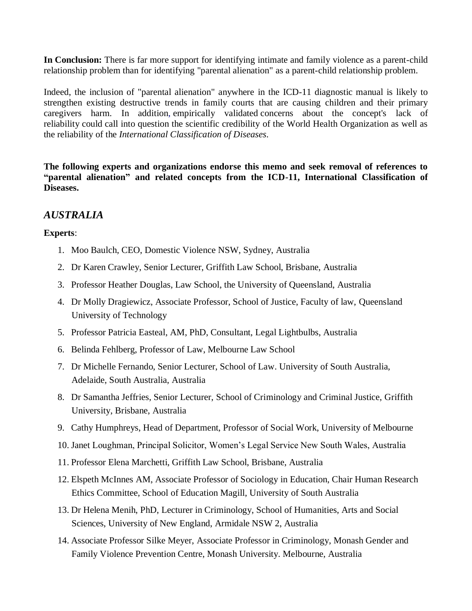**In Conclusion:** There is far more support for identifying intimate and family violence as a parent-child relationship problem than for identifying "parental alienation" as a parent-child relationship problem.

Indeed, the inclusion of "parental alienation" anywhere in the ICD-11 diagnostic manual is likely to strengthen existing destructive trends in family courts that are causing children and their primary caregivers harm. In addition, empirically validated concerns about the concept's lack of reliability could call into question the scientific credibility of the World Health Organization as well as the reliability of the *International Classification of Diseases.*

**The following experts and organizations endorse this memo and seek removal of references to "parental alienation" and related concepts from the ICD-11, International Classification of Diseases.**

## *AUSTRALIA*

- 1. Moo Baulch, CEO, Domestic Violence NSW, Sydney, Australia
- 2. Dr Karen Crawley, Senior Lecturer, Griffith Law School, Brisbane, Australia
- 3. Professor Heather Douglas, Law School, the University of Queensland, Australia
- 4. Dr Molly Dragiewicz, Associate Professor, School of Justice, Faculty of law, Queensland University of Technology
- 5. Professor Patricia Easteal, AM, PhD, Consultant, Legal Lightbulbs, Australia
- 6. Belinda Fehlberg, Professor of Law, Melbourne Law School
- 7. Dr Michelle Fernando, Senior Lecturer, School of Law. University of South Australia, Adelaide, South Australia, Australia
- 8. Dr Samantha Jeffries, Senior Lecturer, School of Criminology and Criminal Justice, Griffith University, Brisbane, Australia
- 9. Cathy Humphreys, Head of Department, Professor of Social Work, University of Melbourne
- 10. Janet Loughman, Principal Solicitor, Women's Legal Service New South Wales, Australia
- 11. Professor Elena Marchetti, Griffith Law School, Brisbane, Australia
- 12. Elspeth McInnes AM, Associate Professor of Sociology in Education, Chair Human Research Ethics Committee, School of Education Magill, University of South Australia
- 13. Dr Helena Menih, PhD, Lecturer in Criminology, School of Humanities, Arts and Social Sciences, University of New England, Armidale NSW 2, Australia
- 14. Associate Professor Silke Meyer, Associate Professor in Criminology, Monash Gender and Family Violence Prevention Centre, Monash University. Melbourne, Australia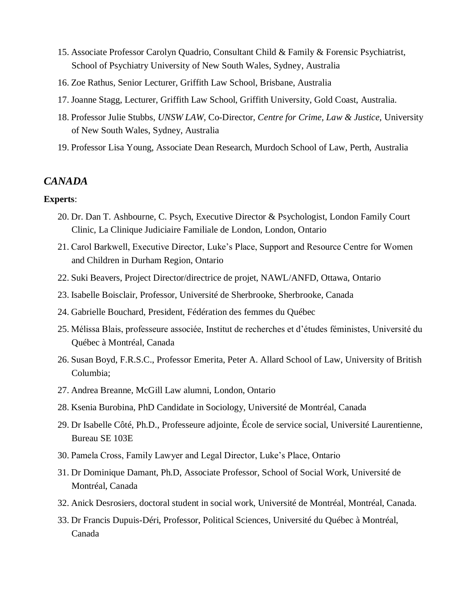- 15. Associate Professor Carolyn Quadrio, Consultant Child & Family & Forensic Psychiatrist, School of Psychiatry University of New South Wales, Sydney, Australia
- 16. Zoe Rathus, Senior Lecturer, Griffith Law School, Brisbane, Australia
- 17. Joanne Stagg, Lecturer, Griffith Law School, Griffith University, Gold Coast, Australia.
- 18. Professor Julie Stubbs, *UNSW LAW,* Co-Director*, Centre for Crime, Law & Justice,* University of New South Wales, Sydney, Australia
- 19. Professor Lisa Young, Associate Dean Research, Murdoch School of Law, Perth, Australia

## *CANADA*

- 20. Dr. Dan T. Ashbourne, C. Psych, Executive Director & Psychologist, London Family Court Clinic, La Clinique Judiciaire Familiale de London, London, Ontario
- 21. Carol Barkwell, Executive Director, Luke's Place, Support and Resource Centre for Women and Children in Durham Region, Ontario
- 22. Suki Beavers, Project Director/directrice de projet, NAWL/ANFD, Ottawa, Ontario
- 23. Isabelle Boisclair, Professor, Université de Sherbrooke, Sherbrooke, Canada
- 24. Gabrielle Bouchard, President, Fédération des femmes du Québec
- 25. Mélissa Blais, professeure associée, Institut de recherches et d'études féministes, Université du Québec à Montréal, Canada
- 26. Susan Boyd, F.R.S.C., Professor Emerita, Peter A. Allard School of Law, University of British Columbia;
- 27. Andrea Breanne, McGill Law alumni, London, Ontario
- 28. Ksenia Burobina, PhD Candidate in Sociology, Université de Montréal, Canada
- 29. Dr Isabelle Côté, Ph.D., Professeure adjointe, École de service social, Université Laurentienne, Bureau SE 103E
- 30. Pamela Cross, Family Lawyer and Legal Director, Luke's Place, Ontario
- 31. Dr Dominique Damant, Ph.D, Associate Professor, School of Social Work, Université de Montréal, Canada
- 32. Anick Desrosiers, doctoral student in social work, Université de Montréal, Montréal, Canada.
- 33. Dr Francis Dupuis-Déri, Professor, Political Sciences, Université du Québec à Montréal, Canada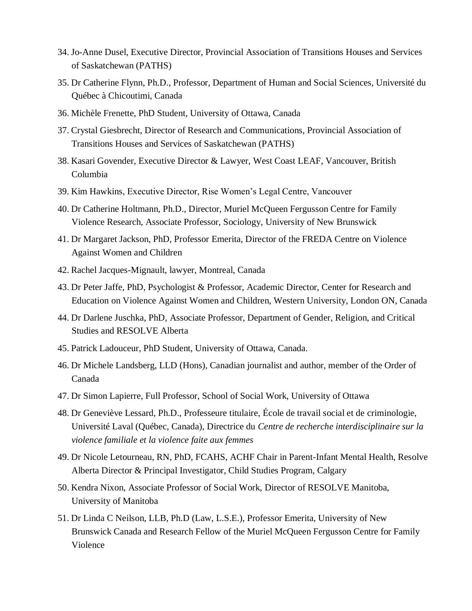- 34. Jo-Anne Dusel, Executive Director, Provincial Association of Transitions Houses and Services of Saskatchewan (PATHS)
- 35. Dr Catherine Flynn, Ph.D., Professor, Department of Human and Social Sciences, Université du Québec à Chicoutimi, Canada
- 36. Michèle Frenette, PhD Student, University of Ottawa, Canada
- 37. Crystal Giesbrecht, Director of Research and Communications, Provincial Association of Transitions Houses and Services of Saskatchewan (PATHS)
- 38. Kasari Govender, Executive Director & Lawyer, West Coast LEAF, Vancouver, British Columbia
- 39. Kim Hawkins, Executive Director, Rise Women's Legal Centre, Vancouver
- 40. Dr Catherine Holtmann, Ph.D., Director, Muriel McQueen Fergusson Centre for Family Violence Research, Associate Professor, Sociology, University of New Brunswick
- 41. Dr Margaret Jackson, PhD, Professor Emerita, Director of the FREDA Centre on Violence Against Women and Children
- 42. Rachel Jacques-Mignault, lawyer, Montreal, Canada
- 43. Dr Peter Jaffe, PhD, Psychologist & Professor, Academic Director, Center for Research and Education on Violence Against Women and Children, Western University, London ON, Canada
- 44. Dr Darlene Juschka, PhD, Associate Professor, Department of Gender, Religion, and Critical Studies and RESOLVE Alberta
- 45. Patrick Ladouceur, PhD Student, University of Ottawa, Canada.
- 46. Dr Michele Landsberg, LLD (Hons), Canadian journalist and author, member of the Order of Canada
- 47. Dr Simon Lapierre, Full Professor, School of Social Work, University of Ottawa
- 48. Dr Geneviève Lessard, Ph.D., Professeure titulaire, École de travail social et de criminologie, Université Laval (Québec, Canada), Directrice du *Centre de recherche interdisciplinaire sur la violence familiale et la violence faite aux femmes*
- 49. Dr Nicole Letourneau, RN, PhD, FCAHS, ACHF Chair in Parent-Infant Mental Health, Resolve Alberta Director & Principal Investigator, Child Studies Program, Calgary
- 50. Kendra Nixon, Associate Professor of Social Work, Director of RESOLVE Manitoba, University of Manitoba
- 51. Dr Linda C Neilson, LLB, Ph.D (Law, L.S.E.), Professor Emerita, University of New Brunswick Canada and Research Fellow of the Muriel McQueen Fergusson Centre for Family Violence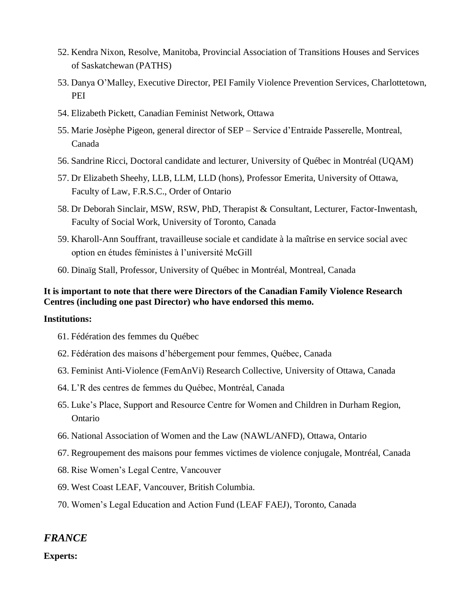- 52. Kendra Nixon, Resolve, Manitoba, Provincial Association of Transitions Houses and Services of Saskatchewan (PATHS)
- 53. Danya O'Malley, Executive Director, PEI Family Violence Prevention Services, Charlottetown, PEI
- 54. Elizabeth Pickett, Canadian Feminist Network, Ottawa
- 55. Marie Josèphe Pigeon, general director of SEP Service d'Entraide Passerelle, Montreal, Canada
- 56. Sandrine Ricci, Doctoral candidate and lecturer, University of Québec in Montréal (UQAM)
- 57. Dr Elizabeth Sheehy, LLB, LLM, LLD (hons), Professor Emerita, University of Ottawa, Faculty of Law, F.R.S.C., Order of Ontario
- 58. Dr Deborah Sinclair, MSW, RSW, PhD, Therapist & Consultant, Lecturer, Factor-Inwentash, Faculty of Social Work, University of Toronto, Canada
- 59. Kharoll-Ann Souffrant, travailleuse sociale et candidate à la maîtrise en service social avec option en études féministes à l'université McGill
- 60. Dinaïg Stall, Professor, University of Québec in Montréal, Montreal, Canada

## **It is important to note that there were Directors of the Canadian Family Violence Research Centres (including one past Director) who have endorsed this memo.**

#### **Institutions:**

- 61. Fédération des femmes du Québec
- 62. Fédération des maisons d'hébergement pour femmes, Québec, Canada
- 63. Feminist Anti-Violence (FemAnVi) Research Collective, University of Ottawa, Canada
- 64. L'R des centres de femmes du Québec, Montréal, Canada
- 65. Luke's Place, Support and Resource Centre for Women and Children in Durham Region, Ontario
- 66. National Association of Women and the Law (NAWL/ANFD), Ottawa, Ontario
- 67. Regroupement des maisons pour femmes victimes de violence conjugale, Montréal, Canada
- 68. Rise Women's Legal Centre, Vancouver
- 69. West Coast LEAF, Vancouver, British Columbia.
- 70. Women's Legal Education and Action Fund (LEAF FAEJ), Toronto, Canada

## *FRANCE*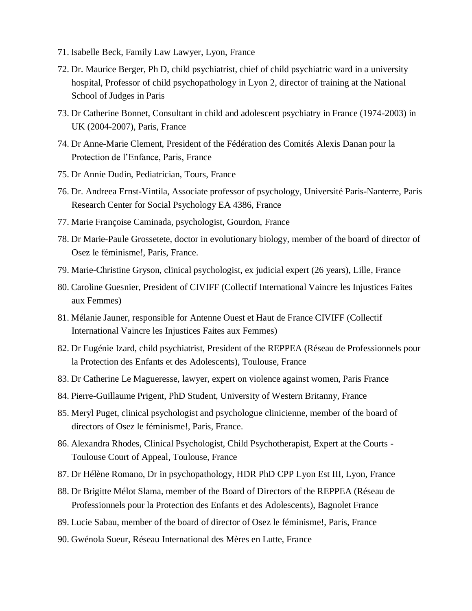- 71. Isabelle Beck, Family Law Lawyer, Lyon, France
- 72. Dr. Maurice Berger, Ph D, child psychiatrist, chief of child psychiatric ward in a university hospital, Professor of child psychopathology in Lyon 2, director of training at the National School of Judges in Paris
- 73. Dr Catherine Bonnet, Consultant in child and adolescent psychiatry in France (1974-2003) in UK (2004-2007), Paris, France
- 74. Dr Anne-Marie Clement, President of the Fédération des Comités Alexis Danan pour la Protection de l'Enfance, Paris, France
- 75. Dr Annie Dudin, Pediatrician, Tours, France
- 76. Dr. Andreea Ernst-Vintila, Associate professor of psychology, Université Paris-Nanterre, Paris Research Center for Social Psychology EA 4386, France
- 77. Marie Françoise Caminada, psychologist, Gourdon, France
- 78. Dr Marie-Paule Grossetete, doctor in evolutionary biology, member of the board of director of Osez le féminisme!, Paris, France.
- 79. Marie-Christine Gryson, clinical psychologist, ex judicial expert (26 years), Lille, France
- 80. Caroline Guesnier, President of CIVIFF (Collectif International Vaincre les Injustices Faites aux Femmes)
- 81. Mélanie Jauner, responsible for Antenne Ouest et Haut de France CIVIFF (Collectif International Vaincre les Injustices Faites aux Femmes)
- 82. Dr Eugénie Izard, child psychiatrist, President of the REPPEA (Réseau de Professionnels pour la Protection des Enfants et des Adolescents), Toulouse, France
- 83. Dr Catherine Le Magueresse, lawyer, expert on violence against women, Paris France
- 84. Pierre-Guillaume Prigent, PhD Student, University of Western Britanny, France
- 85. Meryl Puget, clinical psychologist and psychologue clinicienne, member of the board of directors of Osez le féminisme!, Paris, France.
- 86. Alexandra Rhodes, Clinical Psychologist, Child Psychotherapist, Expert at the Courts Toulouse Court of Appeal, Toulouse, France
- 87. Dr Hélène Romano, Dr in psychopathology, HDR PhD CPP Lyon Est III, Lyon, France
- 88. Dr Brigitte Mélot Slama, member of the Board of Directors of the REPPEA (Réseau de Professionnels pour la Protection des Enfants et des Adolescents), Bagnolet France
- 89. Lucie Sabau, member of the board of director of Osez le féminisme!, Paris, France
- 90. Gwénola Sueur, Réseau International des Mères en Lutte, France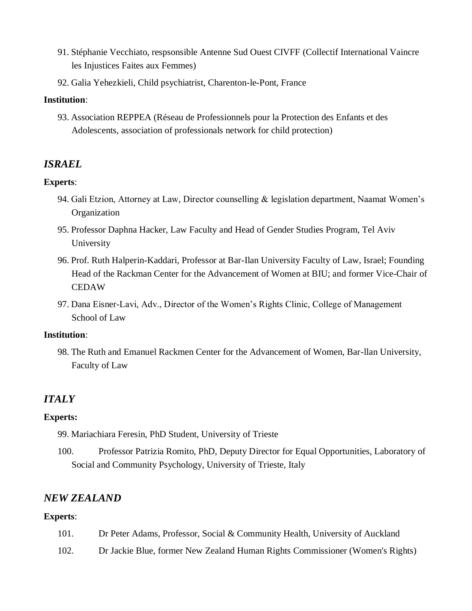- 91. Stéphanie Vecchiato, respsonsible Antenne Sud Ouest CIVFF (Collectif International Vaincre les Injustices Faites aux Femmes)
- 92. Galia Yehezkieli, Child psychiatrist, Charenton-le-Pont, France

## **Institution**:

93. Association REPPEA (Réseau de Professionnels pour la Protection des Enfants et des Adolescents, association of professionals network for child protection)

## *ISRAEL*

### **Experts**:

- 94. Gali Etzion, Attorney at Law, Director counselling & legislation department, Naamat Women's Organization
- 95. Professor Daphna Hacker, Law Faculty and Head of Gender Studies Program, Tel Aviv University
- 96. Prof. Ruth Halperin-Kaddari, Professor at Bar-Ilan University Faculty of Law, Israel; Founding Head of the Rackman Center for the Advancement of Women at BIU; and former Vice-Chair of **CEDAW**
- 97. Dana Eisner-Lavi, Adv., Director of the Women's Rights Clinic, College of Management School of Law

#### **Institution**:

98. The Ruth and Emanuel Rackmen Center for the Advancement of Women, Bar-llan University, Faculty of Law

## *ITALY*

### **Experts:**

99. Mariachiara Feresin, PhD Student, University of Trieste

100. Professor Patrizia Romito, PhD, Deputy Director for Equal Opportunities, Laboratory of Social and Community Psychology, University of Trieste, Italy

## *NEW ZEALAND*

- 101. Dr Peter Adams, Professor, Social & Community Health, University of Auckland
- 102. Dr Jackie Blue, former New Zealand Human Rights Commissioner (Women's Rights)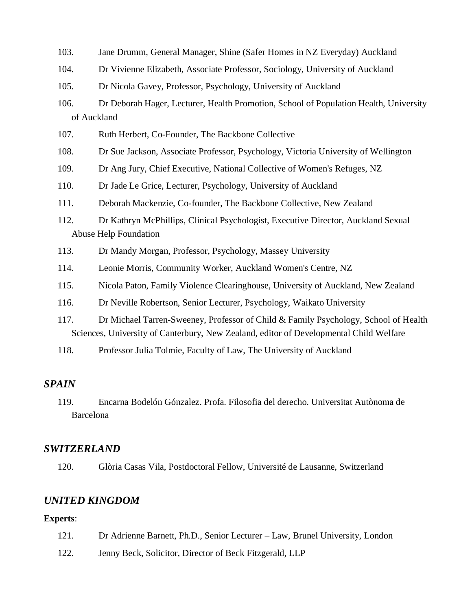- 103. Jane Drumm, General Manager, Shine (Safer Homes in NZ Everyday) Auckland
- 104. Dr Vivienne Elizabeth, Associate Professor, Sociology, University of Auckland
- 105. Dr Nicola Gavey, Professor, Psychology, University of Auckland
- 106. Dr Deborah Hager, Lecturer, Health Promotion, School of Population Health, University of Auckland
- 107. Ruth Herbert, Co-Founder, The Backbone Collective
- 108. Dr Sue Jackson, Associate Professor, Psychology, Victoria University of Wellington
- 109. Dr Ang Jury, Chief Executive, National Collective of Women's Refuges, NZ
- 110. Dr Jade Le Grice, Lecturer, Psychology, University of Auckland
- 111. Deborah Mackenzie, Co-founder, The Backbone Collective, New Zealand
- 112. Dr Kathryn McPhillips, Clinical Psychologist, Executive Director, Auckland Sexual Abuse Help Foundation
- 113. Dr Mandy Morgan, Professor, Psychology, Massey University
- 114. Leonie Morris, Community Worker, Auckland Women's Centre, NZ
- 115. Nicola Paton, Family Violence Clearinghouse, University of Auckland, New Zealand
- 116. Dr Neville Robertson, Senior Lecturer, Psychology, Waikato University
- 117. Dr Michael Tarren-Sweeney, Professor of Child & Family Psychology, School of Health Sciences, University of Canterbury, New Zealand, editor of Developmental Child Welfare
- 118. Professor Julia Tolmie, Faculty of Law, The University of Auckland

## *SPAIN*

119. Encarna Bodelón Gónzalez. Profa. Filosofia del derecho. Universitat Autònoma de Barcelona

### *SWITZERLAND*

120. Glòria Casas Vila, Postdoctoral Fellow, Université de Lausanne, Switzerland

## *UNITED KINGDOM*

- 121. Dr Adrienne Barnett, Ph.D., Senior Lecturer Law, Brunel University, London
- 122. Jenny Beck, Solicitor, Director of Beck Fitzgerald, LLP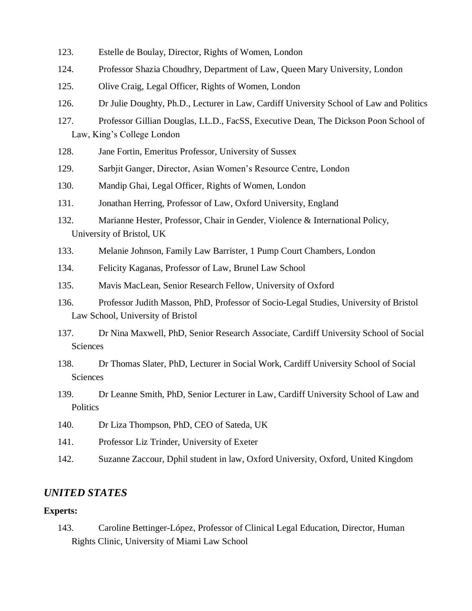- 123. Estelle de Boulay, Director, Rights of Women, London
- 124. Professor Shazia Choudhry, Department of Law, Queen Mary University, London
- 125. Olive Craig, Legal Officer, Rights of Women, London
- 126. Dr Julie Doughty, Ph.D., Lecturer in Law, Cardiff University School of Law and Politics
- 127. Professor Gillian Douglas, LL.D., FacSS, Executive Dean, The Dickson Poon School of Law, King's College London
- 128. Jane Fortin, Emeritus Professor, University of Sussex
- 129. Sarbjit Ganger, Director, Asian Women's Resource Centre, London
- 130. Mandip Ghai, Legal Officer, Rights of Women, London
- 131. Jonathan Herring, Professor of Law, Oxford University, England
- 132. Marianne Hester, Professor, Chair in Gender, Violence & International Policy, University of Bristol, UK
- 133. Melanie Johnson, Family Law Barrister, 1 Pump Court Chambers, London
- 134. Felicity Kaganas, Professor of Law, Brunel Law School
- 135. Mavis MacLean, Senior Research Fellow, University of Oxford
- 136. Professor Judith Masson, PhD, Professor of Socio-Legal Studies, University of Bristol Law School, University of Bristol
- 137. Dr Nina Maxwell, PhD, Senior Research Associate, Cardiff University School of Social Sciences
- 138. Dr Thomas Slater, PhD, Lecturer in Social Work, Cardiff University School of Social Sciences
- 139. Dr Leanne Smith, PhD, Senior Lecturer in Law, Cardiff University School of Law and **Politics**
- 140. Dr Liza Thompson, PhD, CEO of Sateda, UK
- 141. Professor Liz Trinder, University of Exeter
- 142. Suzanne Zaccour, Dphil student in law, Oxford University, Oxford, United Kingdom

## *UNITED STATES*

#### **Experts:**

143. Caroline Bettinger-López, Professor of Clinical Legal Education, Director, Human Rights Clinic, University of Miami Law School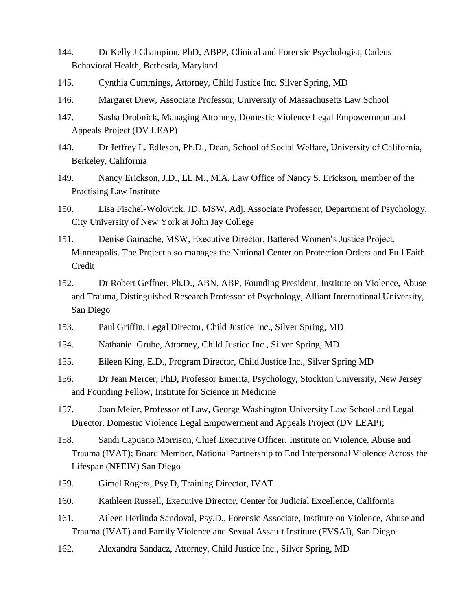- 144. Dr Kelly J Champion, PhD, ABPP, Clinical and Forensic Psychologist, Cadeus Behavioral Health, Bethesda, Maryland
- 145. Cynthia Cummings, Attorney, Child Justice Inc. Silver Spring, MD
- 146. Margaret Drew, Associate Professor, University of Massachusetts Law School
- 147. Sasha Drobnick, Managing Attorney, Domestic Violence Legal Empowerment and Appeals Project (DV LEAP)
- 148. Dr Jeffrey L. Edleson, Ph.D., Dean, School of Social Welfare, University of California, Berkeley, California
- 149. Nancy Erickson, J.D., LL.M., M.A, Law Office of Nancy S. Erickson, member of the Practising Law Institute
- 150. Lisa Fischel-Wolovick, JD, MSW, Adj. Associate Professor, Department of Psychology, City University of New York at John Jay College
- 151. Denise Gamache, MSW, Executive Director, Battered Women's Justice Project, Minneapolis. The Project also manages the National Center on Protection Orders and Full Faith Credit
- 152. Dr Robert Geffner, Ph.D., ABN, ABP, Founding President, Institute on Violence, Abuse and Trauma, Distinguished Research Professor of Psychology, Alliant International University, San Diego
- 153. Paul Griffin, Legal Director, Child Justice Inc., Silver Spring, MD
- 154. Nathaniel Grube, Attorney, Child Justice Inc., Silver Spring, MD
- 155. Eileen King, E.D., Program Director, Child Justice Inc., Silver Spring MD
- 156. Dr Jean Mercer, PhD, Professor Emerita, Psychology, Stockton University, New Jersey and Founding Fellow, Institute for Science in Medicine
- 157. Joan Meier, Professor of Law, George Washington University Law School and Legal Director, Domestic Violence Legal Empowerment and Appeals Project (DV LEAP);
- 158. Sandi Capuano Morrison, Chief Executive Officer, Institute on Violence, Abuse and Trauma (IVAT); Board Member, National Partnership to End Interpersonal Violence Across the Lifespan (NPEIV) San Diego
- 159. Gimel Rogers, Psy.D, Training Director, IVAT
- 160. Kathleen Russell, Executive Director, Center for Judicial Excellence, California
- 161. Aileen Herlinda Sandoval, Psy.D., Forensic Associate, Institute on Violence, Abuse and Trauma (IVAT) and Family Violence and Sexual Assault Institute (FVSAI), San Diego
- 162. Alexandra Sandacz, Attorney, Child Justice Inc., Silver Spring, MD